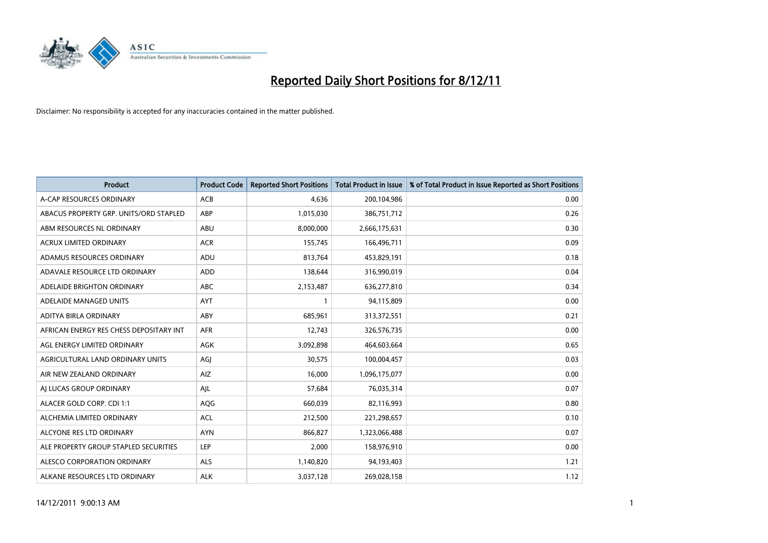

| <b>Product</b>                          | <b>Product Code</b> | <b>Reported Short Positions</b> | <b>Total Product in Issue</b> | % of Total Product in Issue Reported as Short Positions |
|-----------------------------------------|---------------------|---------------------------------|-------------------------------|---------------------------------------------------------|
| A-CAP RESOURCES ORDINARY                | <b>ACB</b>          | 4,636                           | 200,104,986                   | 0.00                                                    |
| ABACUS PROPERTY GRP. UNITS/ORD STAPLED  | ABP                 | 1,015,030                       | 386,751,712                   | 0.26                                                    |
| ABM RESOURCES NL ORDINARY               | <b>ABU</b>          | 8,000,000                       | 2,666,175,631                 | 0.30                                                    |
| ACRUX LIMITED ORDINARY                  | <b>ACR</b>          | 155,745                         | 166,496,711                   | 0.09                                                    |
| ADAMUS RESOURCES ORDINARY               | ADU                 | 813,764                         | 453,829,191                   | 0.18                                                    |
| ADAVALE RESOURCE LTD ORDINARY           | <b>ADD</b>          | 138,644                         | 316,990,019                   | 0.04                                                    |
| ADELAIDE BRIGHTON ORDINARY              | <b>ABC</b>          | 2,153,487                       | 636,277,810                   | 0.34                                                    |
| ADELAIDE MANAGED UNITS                  | <b>AYT</b>          |                                 | 94,115,809                    | 0.00                                                    |
| ADITYA BIRLA ORDINARY                   | ABY                 | 685,961                         | 313,372,551                   | 0.21                                                    |
| AFRICAN ENERGY RES CHESS DEPOSITARY INT | <b>AFR</b>          | 12,743                          | 326,576,735                   | 0.00                                                    |
| AGL ENERGY LIMITED ORDINARY             | <b>AGK</b>          | 3,092,898                       | 464,603,664                   | 0.65                                                    |
| AGRICULTURAL LAND ORDINARY UNITS        | AGJ                 | 30,575                          | 100,004,457                   | 0.03                                                    |
| AIR NEW ZEALAND ORDINARY                | AIZ                 | 16,000                          | 1,096,175,077                 | 0.00                                                    |
| AI LUCAS GROUP ORDINARY                 | AJL                 | 57,684                          | 76,035,314                    | 0.07                                                    |
| ALACER GOLD CORP. CDI 1:1               | AQG                 | 660,039                         | 82,116,993                    | 0.80                                                    |
| ALCHEMIA LIMITED ORDINARY               | <b>ACL</b>          | 212,500                         | 221,298,657                   | 0.10                                                    |
| ALCYONE RES LTD ORDINARY                | <b>AYN</b>          | 866,827                         | 1,323,066,488                 | 0.07                                                    |
| ALE PROPERTY GROUP STAPLED SECURITIES   | LEP                 | 2,000                           | 158,976,910                   | 0.00                                                    |
| ALESCO CORPORATION ORDINARY             | <b>ALS</b>          | 1,140,820                       | 94,193,403                    | 1.21                                                    |
| ALKANE RESOURCES LTD ORDINARY           | <b>ALK</b>          | 3,037,128                       | 269,028,158                   | 1.12                                                    |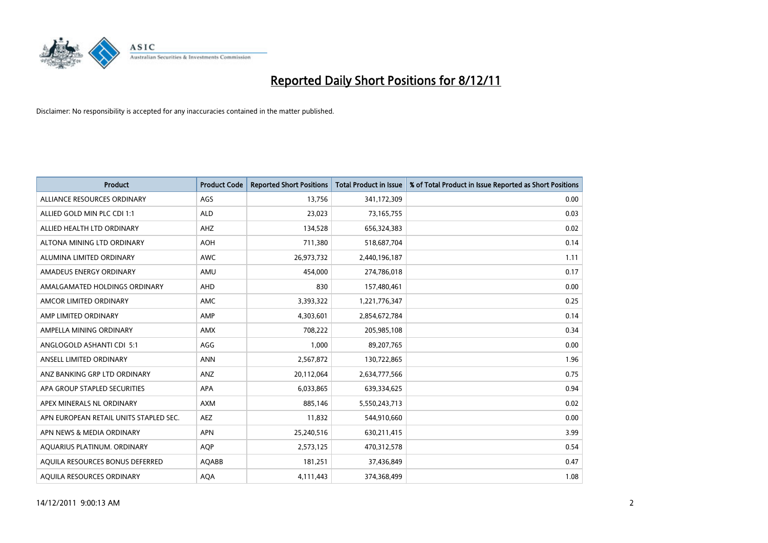

| <b>Product</b>                         | <b>Product Code</b> | <b>Reported Short Positions</b> | <b>Total Product in Issue</b> | % of Total Product in Issue Reported as Short Positions |
|----------------------------------------|---------------------|---------------------------------|-------------------------------|---------------------------------------------------------|
| ALLIANCE RESOURCES ORDINARY            | AGS                 | 13,756                          | 341,172,309                   | 0.00                                                    |
| ALLIED GOLD MIN PLC CDI 1:1            | <b>ALD</b>          | 23,023                          | 73,165,755                    | 0.03                                                    |
| ALLIED HEALTH LTD ORDINARY             | AHZ                 | 134,528                         | 656,324,383                   | 0.02                                                    |
| ALTONA MINING LTD ORDINARY             | <b>AOH</b>          | 711,380                         | 518,687,704                   | 0.14                                                    |
| ALUMINA LIMITED ORDINARY               | <b>AWC</b>          | 26,973,732                      | 2,440,196,187                 | 1.11                                                    |
| AMADEUS ENERGY ORDINARY                | AMU                 | 454,000                         | 274,786,018                   | 0.17                                                    |
| AMALGAMATED HOLDINGS ORDINARY          | <b>AHD</b>          | 830                             | 157,480,461                   | 0.00                                                    |
| AMCOR LIMITED ORDINARY                 | <b>AMC</b>          | 3,393,322                       | 1,221,776,347                 | 0.25                                                    |
| AMP LIMITED ORDINARY                   | AMP                 | 4,303,601                       | 2,854,672,784                 | 0.14                                                    |
| AMPELLA MINING ORDINARY                | <b>AMX</b>          | 708,222                         | 205,985,108                   | 0.34                                                    |
| ANGLOGOLD ASHANTI CDI 5:1              | AGG                 | 1,000                           | 89,207,765                    | 0.00                                                    |
| ANSELL LIMITED ORDINARY                | <b>ANN</b>          | 2,567,872                       | 130,722,865                   | 1.96                                                    |
| ANZ BANKING GRP LTD ORDINARY           | ANZ                 | 20,112,064                      | 2,634,777,566                 | 0.75                                                    |
| APA GROUP STAPLED SECURITIES           | <b>APA</b>          | 6,033,865                       | 639,334,625                   | 0.94                                                    |
| APEX MINERALS NL ORDINARY              | AXM                 | 885,146                         | 5,550,243,713                 | 0.02                                                    |
| APN EUROPEAN RETAIL UNITS STAPLED SEC. | <b>AEZ</b>          | 11,832                          | 544,910,660                   | 0.00                                                    |
| APN NEWS & MEDIA ORDINARY              | <b>APN</b>          | 25,240,516                      | 630,211,415                   | 3.99                                                    |
| AQUARIUS PLATINUM. ORDINARY            | <b>AOP</b>          | 2,573,125                       | 470,312,578                   | 0.54                                                    |
| AQUILA RESOURCES BONUS DEFERRED        | <b>AQABB</b>        | 181,251                         | 37,436,849                    | 0.47                                                    |
| AQUILA RESOURCES ORDINARY              | <b>AQA</b>          | 4,111,443                       | 374,368,499                   | 1.08                                                    |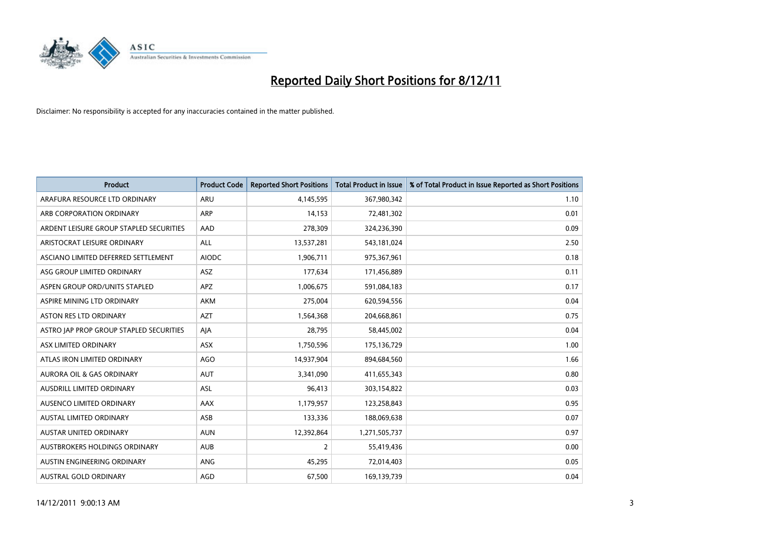

| <b>Product</b>                          | <b>Product Code</b> | <b>Reported Short Positions</b> | <b>Total Product in Issue</b> | % of Total Product in Issue Reported as Short Positions |
|-----------------------------------------|---------------------|---------------------------------|-------------------------------|---------------------------------------------------------|
| ARAFURA RESOURCE LTD ORDINARY           | <b>ARU</b>          | 4,145,595                       | 367,980,342                   | 1.10                                                    |
| ARB CORPORATION ORDINARY                | <b>ARP</b>          | 14,153                          | 72,481,302                    | 0.01                                                    |
| ARDENT LEISURE GROUP STAPLED SECURITIES | AAD                 | 278,309                         | 324,236,390                   | 0.09                                                    |
| ARISTOCRAT LEISURE ORDINARY             | ALL                 | 13,537,281                      | 543,181,024                   | 2.50                                                    |
| ASCIANO LIMITED DEFERRED SETTLEMENT     | <b>AIODC</b>        | 1,906,711                       | 975,367,961                   | 0.18                                                    |
| ASG GROUP LIMITED ORDINARY              | <b>ASZ</b>          | 177,634                         | 171,456,889                   | 0.11                                                    |
| ASPEN GROUP ORD/UNITS STAPLED           | <b>APZ</b>          | 1,006,675                       | 591,084,183                   | 0.17                                                    |
| ASPIRE MINING LTD ORDINARY              | <b>AKM</b>          | 275,004                         | 620,594,556                   | 0.04                                                    |
| <b>ASTON RES LTD ORDINARY</b>           | <b>AZT</b>          | 1,564,368                       | 204,668,861                   | 0.75                                                    |
| ASTRO JAP PROP GROUP STAPLED SECURITIES | AIA                 | 28,795                          | 58,445,002                    | 0.04                                                    |
| ASX LIMITED ORDINARY                    | ASX                 | 1,750,596                       | 175,136,729                   | 1.00                                                    |
| ATLAS IRON LIMITED ORDINARY             | AGO                 | 14,937,904                      | 894,684,560                   | 1.66                                                    |
| AURORA OIL & GAS ORDINARY               | <b>AUT</b>          | 3,341,090                       | 411,655,343                   | 0.80                                                    |
| AUSDRILL LIMITED ORDINARY               | ASL                 | 96,413                          | 303,154,822                   | 0.03                                                    |
| AUSENCO LIMITED ORDINARY                | AAX                 | 1,179,957                       | 123,258,843                   | 0.95                                                    |
| AUSTAL LIMITED ORDINARY                 | ASB                 | 133,336                         | 188,069,638                   | 0.07                                                    |
| AUSTAR UNITED ORDINARY                  | <b>AUN</b>          | 12,392,864                      | 1,271,505,737                 | 0.97                                                    |
| AUSTBROKERS HOLDINGS ORDINARY           | <b>AUB</b>          | 2                               | 55,419,436                    | 0.00                                                    |
| AUSTIN ENGINEERING ORDINARY             | ANG                 | 45,295                          | 72,014,403                    | 0.05                                                    |
| AUSTRAL GOLD ORDINARY                   | AGD                 | 67,500                          | 169,139,739                   | 0.04                                                    |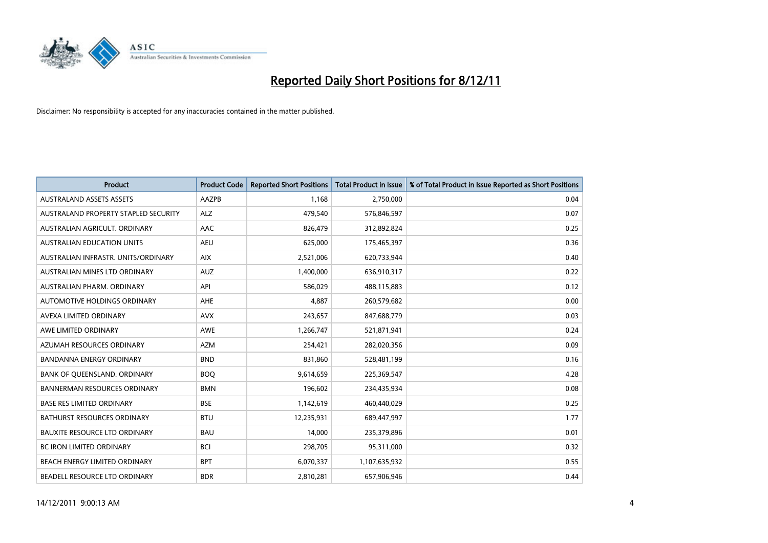

| <b>Product</b>                       | <b>Product Code</b> | <b>Reported Short Positions</b> | <b>Total Product in Issue</b> | % of Total Product in Issue Reported as Short Positions |
|--------------------------------------|---------------------|---------------------------------|-------------------------------|---------------------------------------------------------|
| <b>AUSTRALAND ASSETS ASSETS</b>      | AAZPB               | 1,168                           | 2,750,000                     | 0.04                                                    |
| AUSTRALAND PROPERTY STAPLED SECURITY | <b>ALZ</b>          | 479,540                         | 576,846,597                   | 0.07                                                    |
| AUSTRALIAN AGRICULT, ORDINARY        | AAC                 | 826,479                         | 312,892,824                   | 0.25                                                    |
| AUSTRALIAN EDUCATION UNITS           | <b>AEU</b>          | 625,000                         | 175,465,397                   | 0.36                                                    |
| AUSTRALIAN INFRASTR, UNITS/ORDINARY  | <b>AIX</b>          | 2,521,006                       | 620,733,944                   | 0.40                                                    |
| AUSTRALIAN MINES LTD ORDINARY        | <b>AUZ</b>          | 1,400,000                       | 636,910,317                   | 0.22                                                    |
| AUSTRALIAN PHARM, ORDINARY           | API                 | 586.029                         | 488,115,883                   | 0.12                                                    |
| <b>AUTOMOTIVE HOLDINGS ORDINARY</b>  | AHE                 | 4,887                           | 260,579,682                   | 0.00                                                    |
| AVEXA LIMITED ORDINARY               | <b>AVX</b>          | 243,657                         | 847,688,779                   | 0.03                                                    |
| AWE LIMITED ORDINARY                 | <b>AWE</b>          | 1,266,747                       | 521,871,941                   | 0.24                                                    |
| AZUMAH RESOURCES ORDINARY            | <b>AZM</b>          | 254,421                         | 282,020,356                   | 0.09                                                    |
| <b>BANDANNA ENERGY ORDINARY</b>      | <b>BND</b>          | 831,860                         | 528,481,199                   | 0.16                                                    |
| BANK OF QUEENSLAND. ORDINARY         | <b>BOQ</b>          | 9,614,659                       | 225,369,547                   | 4.28                                                    |
| <b>BANNERMAN RESOURCES ORDINARY</b>  | <b>BMN</b>          | 196,602                         | 234,435,934                   | 0.08                                                    |
| <b>BASE RES LIMITED ORDINARY</b>     | <b>BSE</b>          | 1,142,619                       | 460,440,029                   | 0.25                                                    |
| BATHURST RESOURCES ORDINARY          | <b>BTU</b>          | 12,235,931                      | 689,447,997                   | 1.77                                                    |
| <b>BAUXITE RESOURCE LTD ORDINARY</b> | <b>BAU</b>          | 14,000                          | 235,379,896                   | 0.01                                                    |
| <b>BC IRON LIMITED ORDINARY</b>      | <b>BCI</b>          | 298,705                         | 95,311,000                    | 0.32                                                    |
| BEACH ENERGY LIMITED ORDINARY        | <b>BPT</b>          | 6,070,337                       | 1,107,635,932                 | 0.55                                                    |
| <b>BEADELL RESOURCE LTD ORDINARY</b> | <b>BDR</b>          | 2,810,281                       | 657,906,946                   | 0.44                                                    |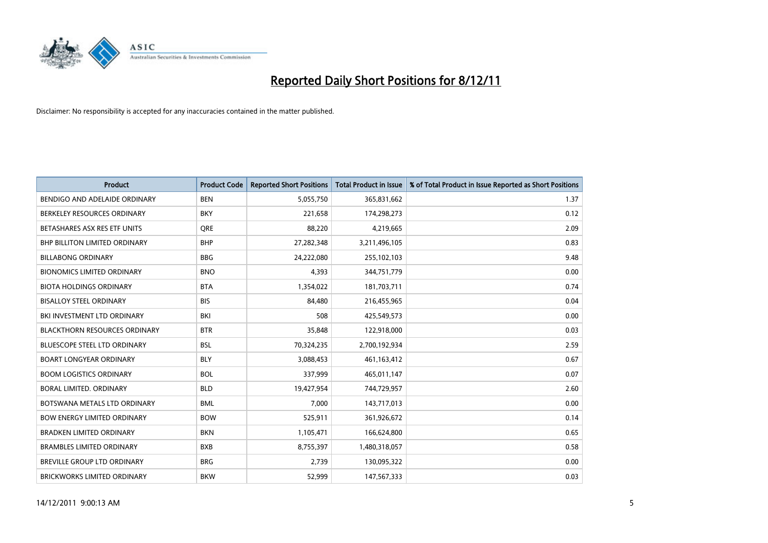

| <b>Product</b>                       | <b>Product Code</b> | <b>Reported Short Positions</b> | <b>Total Product in Issue</b> | % of Total Product in Issue Reported as Short Positions |
|--------------------------------------|---------------------|---------------------------------|-------------------------------|---------------------------------------------------------|
| BENDIGO AND ADELAIDE ORDINARY        | <b>BEN</b>          | 5,055,750                       | 365,831,662                   | 1.37                                                    |
| BERKELEY RESOURCES ORDINARY          | <b>BKY</b>          | 221,658                         | 174,298,273                   | 0.12                                                    |
| BETASHARES ASX RES ETF UNITS         | <b>ORE</b>          | 88,220                          | 4,219,665                     | 2.09                                                    |
| <b>BHP BILLITON LIMITED ORDINARY</b> | <b>BHP</b>          | 27,282,348                      | 3,211,496,105                 | 0.83                                                    |
| <b>BILLABONG ORDINARY</b>            | <b>BBG</b>          | 24,222,080                      | 255,102,103                   | 9.48                                                    |
| <b>BIONOMICS LIMITED ORDINARY</b>    | <b>BNO</b>          | 4,393                           | 344,751,779                   | 0.00                                                    |
| <b>BIOTA HOLDINGS ORDINARY</b>       | <b>BTA</b>          | 1,354,022                       | 181,703,711                   | 0.74                                                    |
| <b>BISALLOY STEEL ORDINARY</b>       | <b>BIS</b>          | 84,480                          | 216,455,965                   | 0.04                                                    |
| BKI INVESTMENT LTD ORDINARY          | BKI                 | 508                             | 425,549,573                   | 0.00                                                    |
| <b>BLACKTHORN RESOURCES ORDINARY</b> | <b>BTR</b>          | 35,848                          | 122,918,000                   | 0.03                                                    |
| <b>BLUESCOPE STEEL LTD ORDINARY</b>  | <b>BSL</b>          | 70,324,235                      | 2,700,192,934                 | 2.59                                                    |
| <b>BOART LONGYEAR ORDINARY</b>       | <b>BLY</b>          | 3,088,453                       | 461,163,412                   | 0.67                                                    |
| <b>BOOM LOGISTICS ORDINARY</b>       | <b>BOL</b>          | 337,999                         | 465,011,147                   | 0.07                                                    |
| BORAL LIMITED, ORDINARY              | <b>BLD</b>          | 19,427,954                      | 744,729,957                   | 2.60                                                    |
| BOTSWANA METALS LTD ORDINARY         | <b>BML</b>          | 7,000                           | 143,717,013                   | 0.00                                                    |
| <b>BOW ENERGY LIMITED ORDINARY</b>   | <b>BOW</b>          | 525,911                         | 361,926,672                   | 0.14                                                    |
| <b>BRADKEN LIMITED ORDINARY</b>      | <b>BKN</b>          | 1,105,471                       | 166,624,800                   | 0.65                                                    |
| <b>BRAMBLES LIMITED ORDINARY</b>     | <b>BXB</b>          | 8,755,397                       | 1,480,318,057                 | 0.58                                                    |
| <b>BREVILLE GROUP LTD ORDINARY</b>   | <b>BRG</b>          | 2,739                           | 130,095,322                   | 0.00                                                    |
| <b>BRICKWORKS LIMITED ORDINARY</b>   | <b>BKW</b>          | 52.999                          | 147,567,333                   | 0.03                                                    |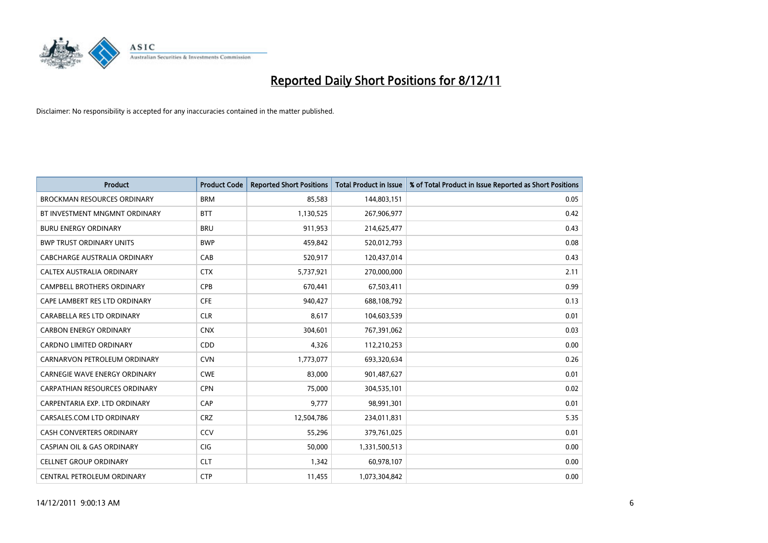

| <b>Product</b>                        | <b>Product Code</b> | <b>Reported Short Positions</b> | <b>Total Product in Issue</b> | % of Total Product in Issue Reported as Short Positions |
|---------------------------------------|---------------------|---------------------------------|-------------------------------|---------------------------------------------------------|
| <b>BROCKMAN RESOURCES ORDINARY</b>    | <b>BRM</b>          | 85,583                          | 144,803,151                   | 0.05                                                    |
| BT INVESTMENT MNGMNT ORDINARY         | <b>BTT</b>          | 1,130,525                       | 267,906,977                   | 0.42                                                    |
| <b>BURU ENERGY ORDINARY</b>           | <b>BRU</b>          | 911,953                         | 214,625,477                   | 0.43                                                    |
| <b>BWP TRUST ORDINARY UNITS</b>       | <b>BWP</b>          | 459,842                         | 520,012,793                   | 0.08                                                    |
| CABCHARGE AUSTRALIA ORDINARY          | CAB                 | 520,917                         | 120,437,014                   | 0.43                                                    |
| CALTEX AUSTRALIA ORDINARY             | <b>CTX</b>          | 5,737,921                       | 270,000,000                   | 2.11                                                    |
| <b>CAMPBELL BROTHERS ORDINARY</b>     | <b>CPB</b>          | 670,441                         | 67,503,411                    | 0.99                                                    |
| CAPE LAMBERT RES LTD ORDINARY         | <b>CFE</b>          | 940,427                         | 688,108,792                   | 0.13                                                    |
| CARABELLA RES LTD ORDINARY            | <b>CLR</b>          | 8,617                           | 104,603,539                   | 0.01                                                    |
| <b>CARBON ENERGY ORDINARY</b>         | <b>CNX</b>          | 304,601                         | 767,391,062                   | 0.03                                                    |
| <b>CARDNO LIMITED ORDINARY</b>        | CDD                 | 4,326                           | 112,210,253                   | 0.00                                                    |
| CARNARVON PETROLEUM ORDINARY          | <b>CVN</b>          | 1,773,077                       | 693,320,634                   | 0.26                                                    |
| <b>CARNEGIE WAVE ENERGY ORDINARY</b>  | <b>CWE</b>          | 83,000                          | 901,487,627                   | 0.01                                                    |
| <b>CARPATHIAN RESOURCES ORDINARY</b>  | <b>CPN</b>          | 75,000                          | 304,535,101                   | 0.02                                                    |
| CARPENTARIA EXP. LTD ORDINARY         | CAP                 | 9.777                           | 98,991,301                    | 0.01                                                    |
| CARSALES.COM LTD ORDINARY             | <b>CRZ</b>          | 12,504,786                      | 234,011,831                   | 5.35                                                    |
| CASH CONVERTERS ORDINARY              | CCV                 | 55,296                          | 379,761,025                   | 0.01                                                    |
| <b>CASPIAN OIL &amp; GAS ORDINARY</b> | <b>CIG</b>          | 50,000                          | 1,331,500,513                 | 0.00                                                    |
| <b>CELLNET GROUP ORDINARY</b>         | <b>CLT</b>          | 1,342                           | 60,978,107                    | 0.00                                                    |
| CENTRAL PETROLEUM ORDINARY            | <b>CTP</b>          | 11,455                          | 1,073,304,842                 | 0.00                                                    |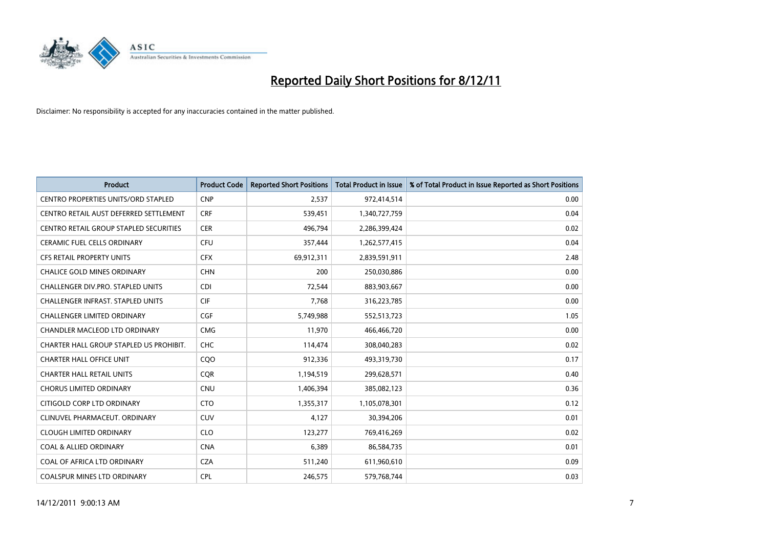

| <b>Product</b>                           | <b>Product Code</b> | <b>Reported Short Positions</b> | <b>Total Product in Issue</b> | % of Total Product in Issue Reported as Short Positions |
|------------------------------------------|---------------------|---------------------------------|-------------------------------|---------------------------------------------------------|
| CENTRO PROPERTIES UNITS/ORD STAPLED      | <b>CNP</b>          | 2,537                           | 972,414,514                   | 0.00                                                    |
| CENTRO RETAIL AUST DEFERRED SETTLEMENT   | <b>CRF</b>          | 539,451                         | 1,340,727,759                 | 0.04                                                    |
| CENTRO RETAIL GROUP STAPLED SECURITIES   | <b>CER</b>          | 496,794                         | 2,286,399,424                 | 0.02                                                    |
| CERAMIC FUEL CELLS ORDINARY              | <b>CFU</b>          | 357,444                         | 1,262,577,415                 | 0.04                                                    |
| <b>CFS RETAIL PROPERTY UNITS</b>         | <b>CFX</b>          | 69,912,311                      | 2,839,591,911                 | 2.48                                                    |
| <b>CHALICE GOLD MINES ORDINARY</b>       | <b>CHN</b>          | 200                             | 250,030,886                   | 0.00                                                    |
| CHALLENGER DIV.PRO. STAPLED UNITS        | <b>CDI</b>          | 72,544                          | 883,903,667                   | 0.00                                                    |
| <b>CHALLENGER INFRAST, STAPLED UNITS</b> | <b>CIF</b>          | 7,768                           | 316,223,785                   | 0.00                                                    |
| CHALLENGER LIMITED ORDINARY              | <b>CGF</b>          | 5,749,988                       | 552,513,723                   | 1.05                                                    |
| CHANDLER MACLEOD LTD ORDINARY            | <b>CMG</b>          | 11,970                          | 466,466,720                   | 0.00                                                    |
| CHARTER HALL GROUP STAPLED US PROHIBIT.  | <b>CHC</b>          | 114,474                         | 308,040,283                   | 0.02                                                    |
| <b>CHARTER HALL OFFICE UNIT</b>          | CQ <sub>O</sub>     | 912,336                         | 493,319,730                   | 0.17                                                    |
| <b>CHARTER HALL RETAIL UNITS</b>         | <b>COR</b>          | 1,194,519                       | 299,628,571                   | 0.40                                                    |
| <b>CHORUS LIMITED ORDINARY</b>           | <b>CNU</b>          | 1,406,394                       | 385,082,123                   | 0.36                                                    |
| CITIGOLD CORP LTD ORDINARY               | <b>CTO</b>          | 1,355,317                       | 1,105,078,301                 | 0.12                                                    |
| CLINUVEL PHARMACEUT, ORDINARY            | CUV                 | 4,127                           | 30,394,206                    | 0.01                                                    |
| <b>CLOUGH LIMITED ORDINARY</b>           | <b>CLO</b>          | 123,277                         | 769,416,269                   | 0.02                                                    |
| <b>COAL &amp; ALLIED ORDINARY</b>        | <b>CNA</b>          | 6,389                           | 86,584,735                    | 0.01                                                    |
| COAL OF AFRICA LTD ORDINARY              | <b>CZA</b>          | 511,240                         | 611,960,610                   | 0.09                                                    |
| <b>COALSPUR MINES LTD ORDINARY</b>       | CPL                 | 246.575                         | 579,768,744                   | 0.03                                                    |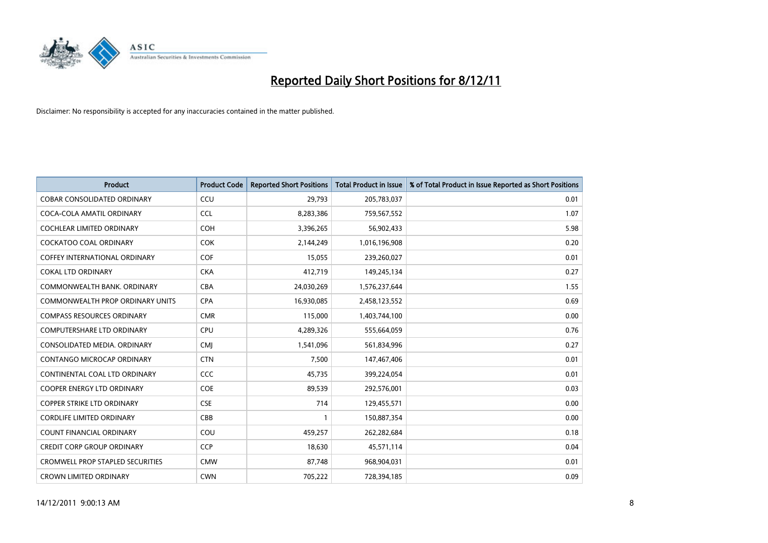

| <b>Product</b>                          | <b>Product Code</b> | <b>Reported Short Positions</b> | <b>Total Product in Issue</b> | % of Total Product in Issue Reported as Short Positions |
|-----------------------------------------|---------------------|---------------------------------|-------------------------------|---------------------------------------------------------|
| <b>COBAR CONSOLIDATED ORDINARY</b>      | CCU                 | 29,793                          | 205,783,037                   | 0.01                                                    |
| COCA-COLA AMATIL ORDINARY               | <b>CCL</b>          | 8,283,386                       | 759,567,552                   | 1.07                                                    |
| <b>COCHLEAR LIMITED ORDINARY</b>        | <b>COH</b>          | 3,396,265                       | 56,902,433                    | 5.98                                                    |
| COCKATOO COAL ORDINARY                  | <b>COK</b>          | 2,144,249                       | 1,016,196,908                 | 0.20                                                    |
| <b>COFFEY INTERNATIONAL ORDINARY</b>    | <b>COF</b>          | 15,055                          | 239,260,027                   | 0.01                                                    |
| <b>COKAL LTD ORDINARY</b>               | <b>CKA</b>          | 412,719                         | 149,245,134                   | 0.27                                                    |
| COMMONWEALTH BANK, ORDINARY             | <b>CBA</b>          | 24,030,269                      | 1,576,237,644                 | 1.55                                                    |
| COMMONWEALTH PROP ORDINARY UNITS        | <b>CPA</b>          | 16,930,085                      | 2,458,123,552                 | 0.69                                                    |
| <b>COMPASS RESOURCES ORDINARY</b>       | <b>CMR</b>          | 115,000                         | 1,403,744,100                 | 0.00                                                    |
| <b>COMPUTERSHARE LTD ORDINARY</b>       | <b>CPU</b>          | 4,289,326                       | 555,664,059                   | 0.76                                                    |
| CONSOLIDATED MEDIA, ORDINARY            | <b>CMI</b>          | 1,541,096                       | 561,834,996                   | 0.27                                                    |
| <b>CONTANGO MICROCAP ORDINARY</b>       | <b>CTN</b>          | 7.500                           | 147,467,406                   | 0.01                                                    |
| CONTINENTAL COAL LTD ORDINARY           | CCC                 | 45,735                          | 399,224,054                   | 0.01                                                    |
| <b>COOPER ENERGY LTD ORDINARY</b>       | COE                 | 89,539                          | 292,576,001                   | 0.03                                                    |
| <b>COPPER STRIKE LTD ORDINARY</b>       | <b>CSE</b>          | 714                             | 129,455,571                   | 0.00                                                    |
| <b>CORDLIFE LIMITED ORDINARY</b>        | CBB                 |                                 | 150,887,354                   | 0.00                                                    |
| <b>COUNT FINANCIAL ORDINARY</b>         | COU                 | 459,257                         | 262,282,684                   | 0.18                                                    |
| <b>CREDIT CORP GROUP ORDINARY</b>       | <b>CCP</b>          | 18,630                          | 45,571,114                    | 0.04                                                    |
| <b>CROMWELL PROP STAPLED SECURITIES</b> | <b>CMW</b>          | 87,748                          | 968,904,031                   | 0.01                                                    |
| <b>CROWN LIMITED ORDINARY</b>           | <b>CWN</b>          | 705.222                         | 728,394,185                   | 0.09                                                    |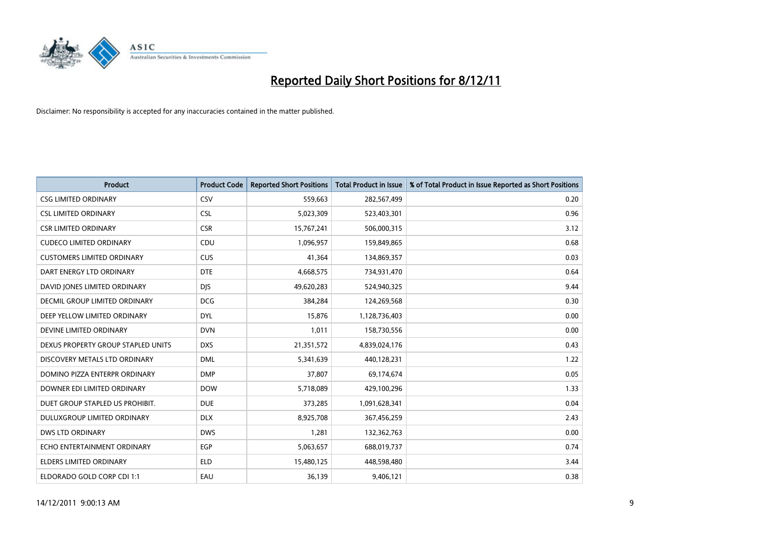

| <b>Product</b>                       | <b>Product Code</b> | <b>Reported Short Positions</b> | <b>Total Product in Issue</b> | % of Total Product in Issue Reported as Short Positions |
|--------------------------------------|---------------------|---------------------------------|-------------------------------|---------------------------------------------------------|
| <b>CSG LIMITED ORDINARY</b>          | CSV                 | 559,663                         | 282,567,499                   | 0.20                                                    |
| <b>CSL LIMITED ORDINARY</b>          | <b>CSL</b>          | 5,023,309                       | 523,403,301                   | 0.96                                                    |
| <b>CSR LIMITED ORDINARY</b>          | <b>CSR</b>          | 15,767,241                      | 506,000,315                   | 3.12                                                    |
| <b>CUDECO LIMITED ORDINARY</b>       | CDU                 | 1,096,957                       | 159,849,865                   | 0.68                                                    |
| <b>CUSTOMERS LIMITED ORDINARY</b>    | <b>CUS</b>          | 41,364                          | 134,869,357                   | 0.03                                                    |
| DART ENERGY LTD ORDINARY             | <b>DTE</b>          | 4,668,575                       | 734,931,470                   | 0.64                                                    |
| DAVID JONES LIMITED ORDINARY         | <b>DJS</b>          | 49,620,283                      | 524,940,325                   | 9.44                                                    |
| <b>DECMIL GROUP LIMITED ORDINARY</b> | <b>DCG</b>          | 384,284                         | 124,269,568                   | 0.30                                                    |
| DEEP YELLOW LIMITED ORDINARY         | <b>DYL</b>          | 15,876                          | 1,128,736,403                 | 0.00                                                    |
| DEVINE LIMITED ORDINARY              | <b>DVN</b>          | 1,011                           | 158,730,556                   | 0.00                                                    |
| DEXUS PROPERTY GROUP STAPLED UNITS   | <b>DXS</b>          | 21,351,572                      | 4,839,024,176                 | 0.43                                                    |
| DISCOVERY METALS LTD ORDINARY        | <b>DML</b>          | 5,341,639                       | 440,128,231                   | 1.22                                                    |
| DOMINO PIZZA ENTERPR ORDINARY        | <b>DMP</b>          | 37,807                          | 69,174,674                    | 0.05                                                    |
| DOWNER EDI LIMITED ORDINARY          | <b>DOW</b>          | 5,718,089                       | 429,100,296                   | 1.33                                                    |
| DUET GROUP STAPLED US PROHIBIT.      | <b>DUE</b>          | 373,285                         | 1,091,628,341                 | 0.04                                                    |
| DULUXGROUP LIMITED ORDINARY          | <b>DLX</b>          | 8,925,708                       | 367,456,259                   | 2.43                                                    |
| <b>DWS LTD ORDINARY</b>              | <b>DWS</b>          | 1,281                           | 132,362,763                   | 0.00                                                    |
| ECHO ENTERTAINMENT ORDINARY          | <b>EGP</b>          | 5,063,657                       | 688,019,737                   | 0.74                                                    |
| <b>ELDERS LIMITED ORDINARY</b>       | <b>ELD</b>          | 15,480,125                      | 448,598,480                   | 3.44                                                    |
| ELDORADO GOLD CORP CDI 1:1           | EAU                 | 36,139                          | 9,406,121                     | 0.38                                                    |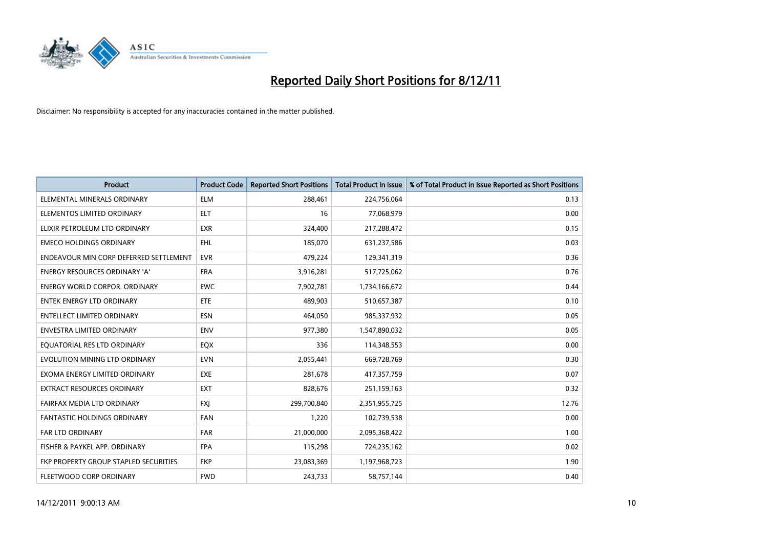

| <b>Product</b>                         | <b>Product Code</b> | <b>Reported Short Positions</b> | <b>Total Product in Issue</b> | % of Total Product in Issue Reported as Short Positions |
|----------------------------------------|---------------------|---------------------------------|-------------------------------|---------------------------------------------------------|
| ELEMENTAL MINERALS ORDINARY            | <b>ELM</b>          | 288,461                         | 224,756,064                   | 0.13                                                    |
| ELEMENTOS LIMITED ORDINARY             | <b>ELT</b>          | 16                              | 77,068,979                    | 0.00                                                    |
| ELIXIR PETROLEUM LTD ORDINARY          | <b>EXR</b>          | 324,400                         | 217,288,472                   | 0.15                                                    |
| <b>EMECO HOLDINGS ORDINARY</b>         | <b>EHL</b>          | 185,070                         | 631,237,586                   | 0.03                                                    |
| ENDEAVOUR MIN CORP DEFERRED SETTLEMENT | <b>EVR</b>          | 479,224                         | 129,341,319                   | 0.36                                                    |
| <b>ENERGY RESOURCES ORDINARY 'A'</b>   | <b>ERA</b>          | 3,916,281                       | 517,725,062                   | 0.76                                                    |
| <b>ENERGY WORLD CORPOR. ORDINARY</b>   | <b>EWC</b>          | 7,902,781                       | 1,734,166,672                 | 0.44                                                    |
| <b>ENTEK ENERGY LTD ORDINARY</b>       | ETE                 | 489,903                         | 510,657,387                   | 0.10                                                    |
| <b>ENTELLECT LIMITED ORDINARY</b>      | <b>ESN</b>          | 464,050                         | 985,337,932                   | 0.05                                                    |
| <b>ENVESTRA LIMITED ORDINARY</b>       | <b>ENV</b>          | 977,380                         | 1,547,890,032                 | 0.05                                                    |
| EQUATORIAL RES LTD ORDINARY            | EQX                 | 336                             | 114,348,553                   | 0.00                                                    |
| EVOLUTION MINING LTD ORDINARY          | <b>EVN</b>          | 2,055,441                       | 669,728,769                   | 0.30                                                    |
| EXOMA ENERGY LIMITED ORDINARY          | <b>EXE</b>          | 281,678                         | 417,357,759                   | 0.07                                                    |
| <b>EXTRACT RESOURCES ORDINARY</b>      | <b>EXT</b>          | 828,676                         | 251,159,163                   | 0.32                                                    |
| FAIRFAX MEDIA LTD ORDINARY             | <b>FXI</b>          | 299,700,840                     | 2,351,955,725                 | 12.76                                                   |
| <b>FANTASTIC HOLDINGS ORDINARY</b>     | <b>FAN</b>          | 1,220                           | 102,739,538                   | 0.00                                                    |
| FAR LTD ORDINARY                       | <b>FAR</b>          | 21,000,000                      | 2,095,368,422                 | 1.00                                                    |
| FISHER & PAYKEL APP. ORDINARY          | <b>FPA</b>          | 115,298                         | 724,235,162                   | 0.02                                                    |
| FKP PROPERTY GROUP STAPLED SECURITIES  | <b>FKP</b>          | 23,083,369                      | 1,197,968,723                 | 1.90                                                    |
| FLEETWOOD CORP ORDINARY                | <b>FWD</b>          | 243,733                         | 58,757,144                    | 0.40                                                    |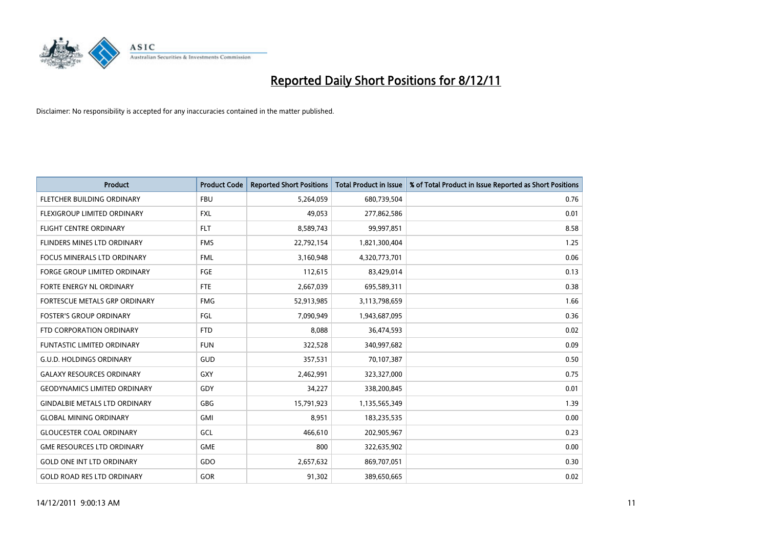

| <b>Product</b>                       | <b>Product Code</b> | <b>Reported Short Positions</b> | <b>Total Product in Issue</b> | % of Total Product in Issue Reported as Short Positions |
|--------------------------------------|---------------------|---------------------------------|-------------------------------|---------------------------------------------------------|
| FLETCHER BUILDING ORDINARY           | <b>FBU</b>          | 5,264,059                       | 680,739,504                   | 0.76                                                    |
| FLEXIGROUP LIMITED ORDINARY          | <b>FXL</b>          | 49,053                          | 277,862,586                   | 0.01                                                    |
| <b>FLIGHT CENTRE ORDINARY</b>        | <b>FLT</b>          | 8,589,743                       | 99,997,851                    | 8.58                                                    |
| FLINDERS MINES LTD ORDINARY          | <b>FMS</b>          | 22,792,154                      | 1,821,300,404                 | 1.25                                                    |
| <b>FOCUS MINERALS LTD ORDINARY</b>   | <b>FML</b>          | 3,160,948                       | 4,320,773,701                 | 0.06                                                    |
| <b>FORGE GROUP LIMITED ORDINARY</b>  | FGE                 | 112,615                         | 83,429,014                    | 0.13                                                    |
| <b>FORTE ENERGY NL ORDINARY</b>      | FTE                 | 2,667,039                       | 695,589,311                   | 0.38                                                    |
| <b>FORTESCUE METALS GRP ORDINARY</b> | <b>FMG</b>          | 52,913,985                      | 3,113,798,659                 | 1.66                                                    |
| <b>FOSTER'S GROUP ORDINARY</b>       | FGL                 | 7,090,949                       | 1,943,687,095                 | 0.36                                                    |
| FTD CORPORATION ORDINARY             | <b>FTD</b>          | 8,088                           | 36,474,593                    | 0.02                                                    |
| FUNTASTIC LIMITED ORDINARY           | <b>FUN</b>          | 322,528                         | 340,997,682                   | 0.09                                                    |
| <b>G.U.D. HOLDINGS ORDINARY</b>      | GUD                 | 357,531                         | 70,107,387                    | 0.50                                                    |
| <b>GALAXY RESOURCES ORDINARY</b>     | <b>GXY</b>          | 2,462,991                       | 323,327,000                   | 0.75                                                    |
| <b>GEODYNAMICS LIMITED ORDINARY</b>  | GDY                 | 34,227                          | 338,200,845                   | 0.01                                                    |
| <b>GINDALBIE METALS LTD ORDINARY</b> | GBG                 | 15,791,923                      | 1,135,565,349                 | 1.39                                                    |
| <b>GLOBAL MINING ORDINARY</b>        | GMI                 | 8,951                           | 183,235,535                   | 0.00                                                    |
| <b>GLOUCESTER COAL ORDINARY</b>      | GCL                 | 466,610                         | 202,905,967                   | 0.23                                                    |
| <b>GME RESOURCES LTD ORDINARY</b>    | <b>GME</b>          | 800                             | 322,635,902                   | 0.00                                                    |
| <b>GOLD ONE INT LTD ORDINARY</b>     | GDO                 | 2,657,632                       | 869,707,051                   | 0.30                                                    |
| <b>GOLD ROAD RES LTD ORDINARY</b>    | GOR                 | 91,302                          | 389,650,665                   | 0.02                                                    |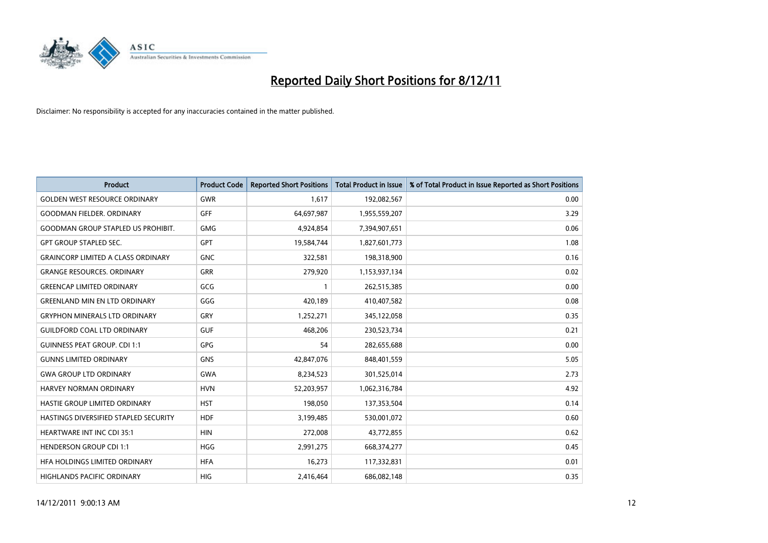

| <b>Product</b>                            | <b>Product Code</b> | <b>Reported Short Positions</b> | <b>Total Product in Issue</b> | % of Total Product in Issue Reported as Short Positions |
|-------------------------------------------|---------------------|---------------------------------|-------------------------------|---------------------------------------------------------|
| <b>GOLDEN WEST RESOURCE ORDINARY</b>      | <b>GWR</b>          | 1,617                           | 192,082,567                   | 0.00                                                    |
| <b>GOODMAN FIELDER. ORDINARY</b>          | <b>GFF</b>          | 64,697,987                      | 1,955,559,207                 | 3.29                                                    |
| <b>GOODMAN GROUP STAPLED US PROHIBIT.</b> | <b>GMG</b>          | 4,924,854                       | 7,394,907,651                 | 0.06                                                    |
| <b>GPT GROUP STAPLED SEC.</b>             | <b>GPT</b>          | 19,584,744                      | 1,827,601,773                 | 1.08                                                    |
| <b>GRAINCORP LIMITED A CLASS ORDINARY</b> | <b>GNC</b>          | 322,581                         | 198,318,900                   | 0.16                                                    |
| <b>GRANGE RESOURCES, ORDINARY</b>         | <b>GRR</b>          | 279,920                         | 1,153,937,134                 | 0.02                                                    |
| <b>GREENCAP LIMITED ORDINARY</b>          | GCG                 |                                 | 262,515,385                   | 0.00                                                    |
| <b>GREENLAND MIN EN LTD ORDINARY</b>      | GGG                 | 420,189                         | 410,407,582                   | 0.08                                                    |
| <b>GRYPHON MINERALS LTD ORDINARY</b>      | GRY                 | 1,252,271                       | 345,122,058                   | 0.35                                                    |
| <b>GUILDFORD COAL LTD ORDINARY</b>        | <b>GUF</b>          | 468,206                         | 230,523,734                   | 0.21                                                    |
| <b>GUINNESS PEAT GROUP. CDI 1:1</b>       | <b>GPG</b>          | 54                              | 282,655,688                   | 0.00                                                    |
| <b>GUNNS LIMITED ORDINARY</b>             | <b>GNS</b>          | 42,847,076                      | 848,401,559                   | 5.05                                                    |
| <b>GWA GROUP LTD ORDINARY</b>             | <b>GWA</b>          | 8,234,523                       | 301,525,014                   | 2.73                                                    |
| HARVEY NORMAN ORDINARY                    | <b>HVN</b>          | 52,203,957                      | 1,062,316,784                 | 4.92                                                    |
| HASTIE GROUP LIMITED ORDINARY             | <b>HST</b>          | 198,050                         | 137,353,504                   | 0.14                                                    |
| HASTINGS DIVERSIFIED STAPLED SECURITY     | <b>HDF</b>          | 3,199,485                       | 530,001,072                   | 0.60                                                    |
| <b>HEARTWARE INT INC CDI 35:1</b>         | <b>HIN</b>          | 272,008                         | 43,772,855                    | 0.62                                                    |
| <b>HENDERSON GROUP CDI 1:1</b>            | <b>HGG</b>          | 2,991,275                       | 668,374,277                   | 0.45                                                    |
| HFA HOLDINGS LIMITED ORDINARY             | <b>HFA</b>          | 16,273                          | 117,332,831                   | 0.01                                                    |
| <b>HIGHLANDS PACIFIC ORDINARY</b>         | <b>HIG</b>          | 2,416,464                       | 686,082,148                   | 0.35                                                    |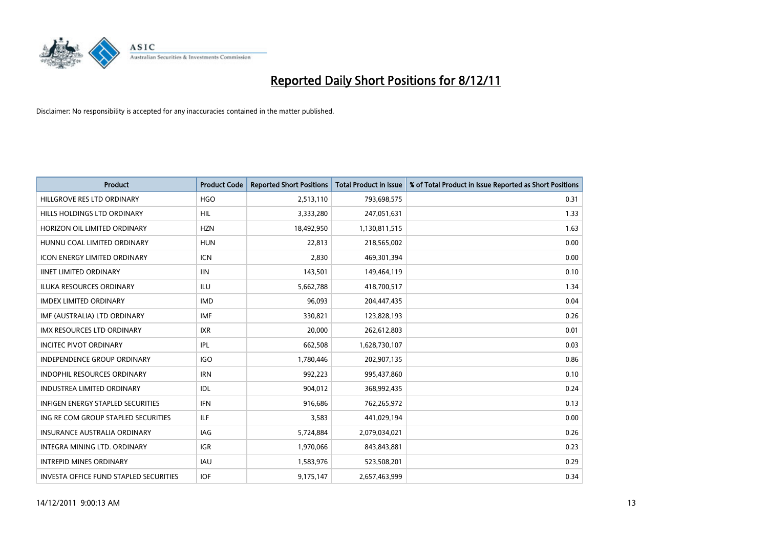

| <b>Product</b>                                | <b>Product Code</b> | <b>Reported Short Positions</b> | <b>Total Product in Issue</b> | % of Total Product in Issue Reported as Short Positions |
|-----------------------------------------------|---------------------|---------------------------------|-------------------------------|---------------------------------------------------------|
| HILLGROVE RES LTD ORDINARY                    | <b>HGO</b>          | 2,513,110                       | 793,698,575                   | 0.31                                                    |
| HILLS HOLDINGS LTD ORDINARY                   | <b>HIL</b>          | 3,333,280                       | 247,051,631                   | 1.33                                                    |
| HORIZON OIL LIMITED ORDINARY                  | <b>HZN</b>          | 18,492,950                      | 1,130,811,515                 | 1.63                                                    |
| HUNNU COAL LIMITED ORDINARY                   | <b>HUN</b>          | 22,813                          | 218,565,002                   | 0.00                                                    |
| <b>ICON ENERGY LIMITED ORDINARY</b>           | <b>ICN</b>          | 2,830                           | 469,301,394                   | 0.00                                                    |
| <b>IINET LIMITED ORDINARY</b>                 | <b>IIN</b>          | 143,501                         | 149,464,119                   | 0.10                                                    |
| <b>ILUKA RESOURCES ORDINARY</b>               | ILU                 | 5,662,788                       | 418,700,517                   | 1.34                                                    |
| <b>IMDEX LIMITED ORDINARY</b>                 | <b>IMD</b>          | 96,093                          | 204,447,435                   | 0.04                                                    |
| IMF (AUSTRALIA) LTD ORDINARY                  | IMF                 | 330,821                         | 123,828,193                   | 0.26                                                    |
| <b>IMX RESOURCES LTD ORDINARY</b>             | <b>IXR</b>          | 20,000                          | 262,612,803                   | 0.01                                                    |
| <b>INCITEC PIVOT ORDINARY</b>                 | IPL                 | 662,508                         | 1,628,730,107                 | 0.03                                                    |
| <b>INDEPENDENCE GROUP ORDINARY</b>            | <b>IGO</b>          | 1,780,446                       | 202,907,135                   | 0.86                                                    |
| INDOPHIL RESOURCES ORDINARY                   | <b>IRN</b>          | 992,223                         | 995,437,860                   | 0.10                                                    |
| <b>INDUSTREA LIMITED ORDINARY</b>             | IDL                 | 904,012                         | 368,992,435                   | 0.24                                                    |
| <b>INFIGEN ENERGY STAPLED SECURITIES</b>      | <b>IFN</b>          | 916,686                         | 762,265,972                   | 0.13                                                    |
| ING RE COM GROUP STAPLED SECURITIES           | ILF                 | 3,583                           | 441,029,194                   | 0.00                                                    |
| <b>INSURANCE AUSTRALIA ORDINARY</b>           | IAG                 | 5,724,884                       | 2,079,034,021                 | 0.26                                                    |
| INTEGRA MINING LTD. ORDINARY                  | <b>IGR</b>          | 1,970,066                       | 843,843,881                   | 0.23                                                    |
| <b>INTREPID MINES ORDINARY</b>                | <b>IAU</b>          | 1,583,976                       | 523,508,201                   | 0.29                                                    |
| <b>INVESTA OFFICE FUND STAPLED SECURITIES</b> | <b>IOF</b>          | 9,175,147                       | 2,657,463,999                 | 0.34                                                    |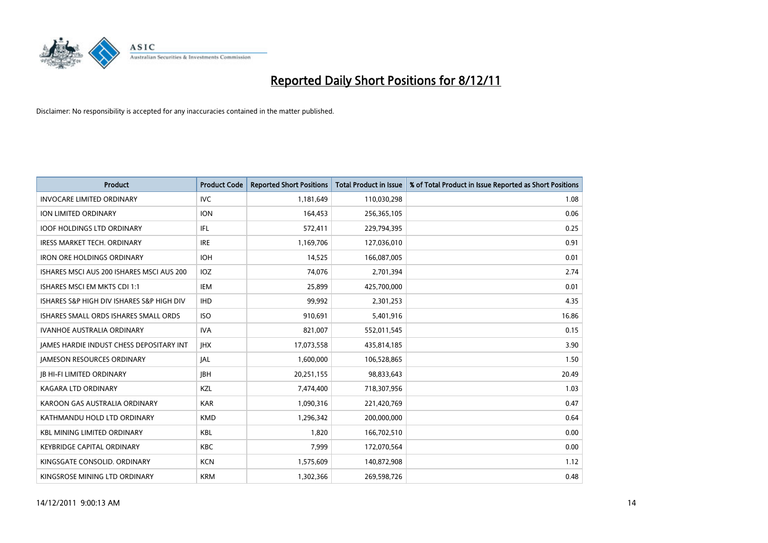

| <b>Product</b>                            | <b>Product Code</b> | <b>Reported Short Positions</b> | <b>Total Product in Issue</b> | % of Total Product in Issue Reported as Short Positions |
|-------------------------------------------|---------------------|---------------------------------|-------------------------------|---------------------------------------------------------|
| <b>INVOCARE LIMITED ORDINARY</b>          | <b>IVC</b>          | 1,181,649                       | 110,030,298                   | 1.08                                                    |
| ION LIMITED ORDINARY                      | <b>ION</b>          | 164,453                         | 256,365,105                   | 0.06                                                    |
| <b>IOOF HOLDINGS LTD ORDINARY</b>         | <b>IFL</b>          | 572,411                         | 229,794,395                   | 0.25                                                    |
| IRESS MARKET TECH. ORDINARY               | <b>IRE</b>          | 1,169,706                       | 127,036,010                   | 0.91                                                    |
| <b>IRON ORE HOLDINGS ORDINARY</b>         | <b>IOH</b>          | 14,525                          | 166,087,005                   | 0.01                                                    |
| ISHARES MSCI AUS 200 ISHARES MSCI AUS 200 | IOZ                 | 74,076                          | 2,701,394                     | 2.74                                                    |
| <b>ISHARES MSCI EM MKTS CDI 1:1</b>       | IEM                 | 25,899                          | 425,700,000                   | 0.01                                                    |
| ISHARES S&P HIGH DIV ISHARES S&P HIGH DIV | <b>IHD</b>          | 99,992                          | 2,301,253                     | 4.35                                                    |
| ISHARES SMALL ORDS ISHARES SMALL ORDS     | <b>ISO</b>          | 910,691                         | 5,401,916                     | 16.86                                                   |
| <b>IVANHOE AUSTRALIA ORDINARY</b>         | <b>IVA</b>          | 821,007                         | 552,011,545                   | 0.15                                                    |
| IAMES HARDIE INDUST CHESS DEPOSITARY INT  | <b>IHX</b>          | 17,073,558                      | 435,814,185                   | 3.90                                                    |
| <b>JAMESON RESOURCES ORDINARY</b>         | <b>JAL</b>          | 1,600,000                       | 106,528,865                   | 1.50                                                    |
| <b>IB HI-FI LIMITED ORDINARY</b>          | <b>IBH</b>          | 20,251,155                      | 98,833,643                    | 20.49                                                   |
| <b>KAGARA LTD ORDINARY</b>                | <b>KZL</b>          | 7,474,400                       | 718,307,956                   | 1.03                                                    |
| KAROON GAS AUSTRALIA ORDINARY             | <b>KAR</b>          | 1,090,316                       | 221,420,769                   | 0.47                                                    |
| KATHMANDU HOLD LTD ORDINARY               | <b>KMD</b>          | 1,296,342                       | 200,000,000                   | 0.64                                                    |
| <b>KBL MINING LIMITED ORDINARY</b>        | <b>KBL</b>          | 1,820                           | 166,702,510                   | 0.00                                                    |
| <b>KEYBRIDGE CAPITAL ORDINARY</b>         | <b>KBC</b>          | 7,999                           | 172,070,564                   | 0.00                                                    |
| KINGSGATE CONSOLID, ORDINARY              | <b>KCN</b>          | 1,575,609                       | 140,872,908                   | 1.12                                                    |
| KINGSROSE MINING LTD ORDINARY             | <b>KRM</b>          | 1,302,366                       | 269,598,726                   | 0.48                                                    |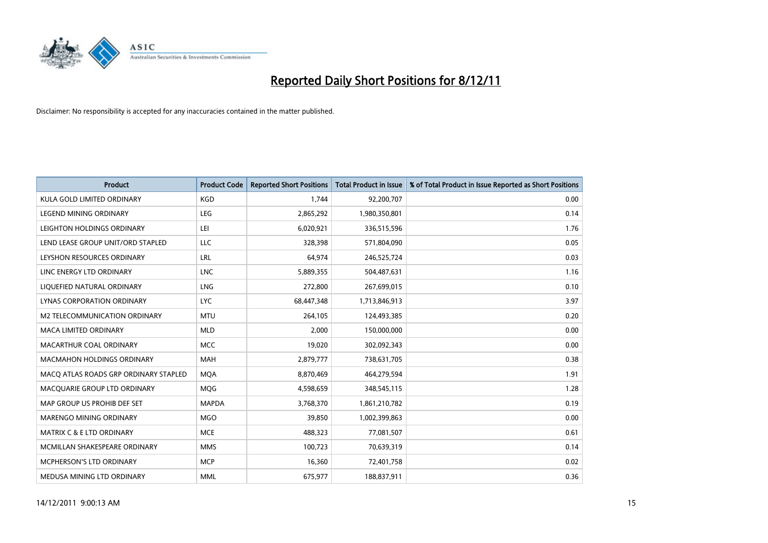

| <b>Product</b>                        | <b>Product Code</b> | <b>Reported Short Positions</b> | <b>Total Product in Issue</b> | % of Total Product in Issue Reported as Short Positions |
|---------------------------------------|---------------------|---------------------------------|-------------------------------|---------------------------------------------------------|
| KULA GOLD LIMITED ORDINARY            | <b>KGD</b>          | 1,744                           | 92,200,707                    | 0.00                                                    |
| LEGEND MINING ORDINARY                | <b>LEG</b>          | 2,865,292                       | 1,980,350,801                 | 0.14                                                    |
| LEIGHTON HOLDINGS ORDINARY            | LEI                 | 6,020,921                       | 336,515,596                   | 1.76                                                    |
| LEND LEASE GROUP UNIT/ORD STAPLED     | LLC                 | 328,398                         | 571,804,090                   | 0.05                                                    |
| LEYSHON RESOURCES ORDINARY            | LRL                 | 64,974                          | 246,525,724                   | 0.03                                                    |
| LINC ENERGY LTD ORDINARY              | <b>LNC</b>          | 5,889,355                       | 504,487,631                   | 1.16                                                    |
| LIQUEFIED NATURAL ORDINARY            | <b>LNG</b>          | 272,800                         | 267,699,015                   | 0.10                                                    |
| LYNAS CORPORATION ORDINARY            | <b>LYC</b>          | 68,447,348                      | 1,713,846,913                 | 3.97                                                    |
| M2 TELECOMMUNICATION ORDINARY         | <b>MTU</b>          | 264,105                         | 124,493,385                   | 0.20                                                    |
| <b>MACA LIMITED ORDINARY</b>          | <b>MLD</b>          | 2,000                           | 150,000,000                   | 0.00                                                    |
| MACARTHUR COAL ORDINARY               | <b>MCC</b>          | 19,020                          | 302,092,343                   | 0.00                                                    |
| <b>MACMAHON HOLDINGS ORDINARY</b>     | <b>MAH</b>          | 2,879,777                       | 738,631,705                   | 0.38                                                    |
| MACQ ATLAS ROADS GRP ORDINARY STAPLED | <b>MQA</b>          | 8,870,469                       | 464,279,594                   | 1.91                                                    |
| MACQUARIE GROUP LTD ORDINARY          | <b>MOG</b>          | 4,598,659                       | 348,545,115                   | 1.28                                                    |
| MAP GROUP US PROHIB DEF SET           | <b>MAPDA</b>        | 3,768,370                       | 1,861,210,782                 | 0.19                                                    |
| MARENGO MINING ORDINARY               | <b>MGO</b>          | 39,850                          | 1,002,399,863                 | 0.00                                                    |
| <b>MATRIX C &amp; E LTD ORDINARY</b>  | <b>MCE</b>          | 488,323                         | 77,081,507                    | 0.61                                                    |
| MCMILLAN SHAKESPEARE ORDINARY         | <b>MMS</b>          | 100,723                         | 70,639,319                    | 0.14                                                    |
| <b>MCPHERSON'S LTD ORDINARY</b>       | <b>MCP</b>          | 16,360                          | 72,401,758                    | 0.02                                                    |
| MEDUSA MINING LTD ORDINARY            | <b>MML</b>          | 675,977                         | 188,837,911                   | 0.36                                                    |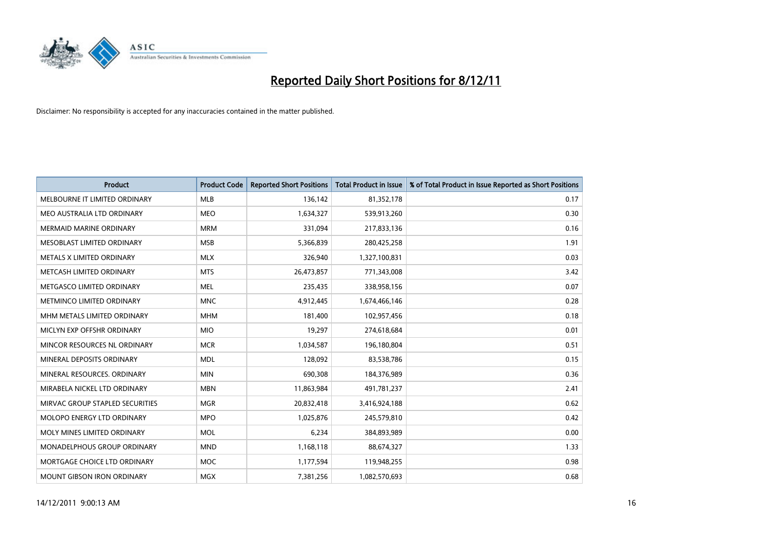

| <b>Product</b>                  | <b>Product Code</b> | <b>Reported Short Positions</b> | <b>Total Product in Issue</b> | % of Total Product in Issue Reported as Short Positions |
|---------------------------------|---------------------|---------------------------------|-------------------------------|---------------------------------------------------------|
| MELBOURNE IT LIMITED ORDINARY   | <b>MLB</b>          | 136,142                         | 81,352,178                    | 0.17                                                    |
| MEO AUSTRALIA LTD ORDINARY      | <b>MEO</b>          | 1,634,327                       | 539,913,260                   | 0.30                                                    |
| <b>MERMAID MARINE ORDINARY</b>  | <b>MRM</b>          | 331,094                         | 217,833,136                   | 0.16                                                    |
| MESOBLAST LIMITED ORDINARY      | <b>MSB</b>          | 5,366,839                       | 280,425,258                   | 1.91                                                    |
| METALS X LIMITED ORDINARY       | <b>MLX</b>          | 326,940                         | 1,327,100,831                 | 0.03                                                    |
| METCASH LIMITED ORDINARY        | <b>MTS</b>          | 26,473,857                      | 771,343,008                   | 3.42                                                    |
| METGASCO LIMITED ORDINARY       | <b>MEL</b>          | 235,435                         | 338,958,156                   | 0.07                                                    |
| METMINCO LIMITED ORDINARY       | <b>MNC</b>          | 4,912,445                       | 1,674,466,146                 | 0.28                                                    |
| MHM METALS LIMITED ORDINARY     | <b>MHM</b>          | 181,400                         | 102,957,456                   | 0.18                                                    |
| MICLYN EXP OFFSHR ORDINARY      | <b>MIO</b>          | 19,297                          | 274,618,684                   | 0.01                                                    |
| MINCOR RESOURCES NL ORDINARY    | <b>MCR</b>          | 1,034,587                       | 196,180,804                   | 0.51                                                    |
| MINERAL DEPOSITS ORDINARY       | <b>MDL</b>          | 128,092                         | 83,538,786                    | 0.15                                                    |
| MINERAL RESOURCES. ORDINARY     | <b>MIN</b>          | 690,308                         | 184,376,989                   | 0.36                                                    |
| MIRABELA NICKEL LTD ORDINARY    | <b>MBN</b>          | 11,863,984                      | 491,781,237                   | 2.41                                                    |
| MIRVAC GROUP STAPLED SECURITIES | <b>MGR</b>          | 20,832,418                      | 3,416,924,188                 | 0.62                                                    |
| MOLOPO ENERGY LTD ORDINARY      | <b>MPO</b>          | 1,025,876                       | 245,579,810                   | 0.42                                                    |
| MOLY MINES LIMITED ORDINARY     | <b>MOL</b>          | 6,234                           | 384,893,989                   | 0.00                                                    |
| MONADELPHOUS GROUP ORDINARY     | <b>MND</b>          | 1,168,118                       | 88,674,327                    | 1.33                                                    |
| MORTGAGE CHOICE LTD ORDINARY    | MOC                 | 1,177,594                       | 119,948,255                   | 0.98                                                    |
| MOUNT GIBSON IRON ORDINARY      | <b>MGX</b>          | 7,381,256                       | 1,082,570,693                 | 0.68                                                    |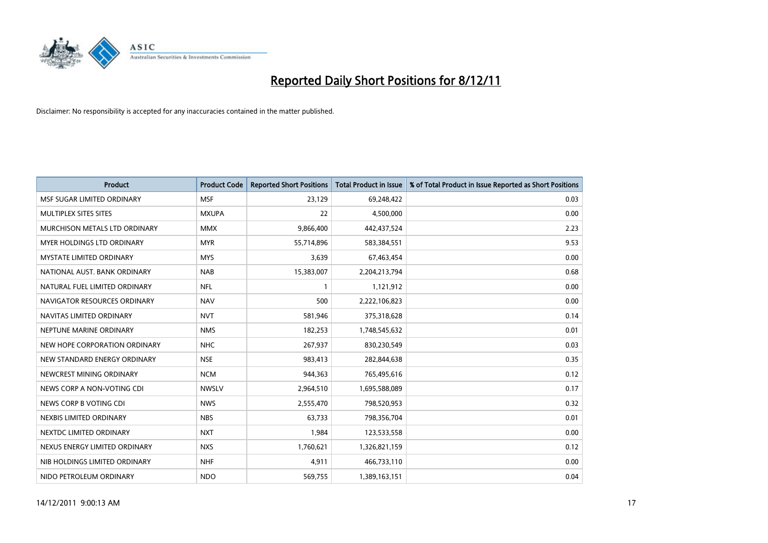

| <b>Product</b>                  | <b>Product Code</b> | <b>Reported Short Positions</b> | <b>Total Product in Issue</b> | % of Total Product in Issue Reported as Short Positions |
|---------------------------------|---------------------|---------------------------------|-------------------------------|---------------------------------------------------------|
| MSF SUGAR LIMITED ORDINARY      | <b>MSF</b>          | 23,129                          | 69,248,422                    | 0.03                                                    |
| MULTIPLEX SITES SITES           | <b>MXUPA</b>        | 22                              | 4,500,000                     | 0.00                                                    |
| MURCHISON METALS LTD ORDINARY   | <b>MMX</b>          | 9,866,400                       | 442,437,524                   | 2.23                                                    |
| MYER HOLDINGS LTD ORDINARY      | <b>MYR</b>          | 55,714,896                      | 583,384,551                   | 9.53                                                    |
| <b>MYSTATE LIMITED ORDINARY</b> | <b>MYS</b>          | 3,639                           | 67,463,454                    | 0.00                                                    |
| NATIONAL AUST. BANK ORDINARY    | <b>NAB</b>          | 15,383,007                      | 2,204,213,794                 | 0.68                                                    |
| NATURAL FUEL LIMITED ORDINARY   | <b>NFL</b>          |                                 | 1,121,912                     | 0.00                                                    |
| NAVIGATOR RESOURCES ORDINARY    | <b>NAV</b>          | 500                             | 2,222,106,823                 | 0.00                                                    |
| NAVITAS LIMITED ORDINARY        | <b>NVT</b>          | 581,946                         | 375,318,628                   | 0.14                                                    |
| NEPTUNE MARINE ORDINARY         | <b>NMS</b>          | 182,253                         | 1,748,545,632                 | 0.01                                                    |
| NEW HOPE CORPORATION ORDINARY   | <b>NHC</b>          | 267,937                         | 830,230,549                   | 0.03                                                    |
| NEW STANDARD ENERGY ORDINARY    | <b>NSE</b>          | 983,413                         | 282,844,638                   | 0.35                                                    |
| NEWCREST MINING ORDINARY        | <b>NCM</b>          | 944,363                         | 765,495,616                   | 0.12                                                    |
| NEWS CORP A NON-VOTING CDI      | <b>NWSLV</b>        | 2,964,510                       | 1,695,588,089                 | 0.17                                                    |
| NEWS CORP B VOTING CDI          | <b>NWS</b>          | 2,555,470                       | 798,520,953                   | 0.32                                                    |
| NEXBIS LIMITED ORDINARY         | <b>NBS</b>          | 63,733                          | 798,356,704                   | 0.01                                                    |
| NEXTDC LIMITED ORDINARY         | <b>NXT</b>          | 1,984                           | 123,533,558                   | 0.00                                                    |
| NEXUS ENERGY LIMITED ORDINARY   | <b>NXS</b>          | 1,760,621                       | 1,326,821,159                 | 0.12                                                    |
| NIB HOLDINGS LIMITED ORDINARY   | <b>NHF</b>          | 4,911                           | 466,733,110                   | 0.00                                                    |
| NIDO PETROLEUM ORDINARY         | <b>NDO</b>          | 569,755                         | 1,389,163,151                 | 0.04                                                    |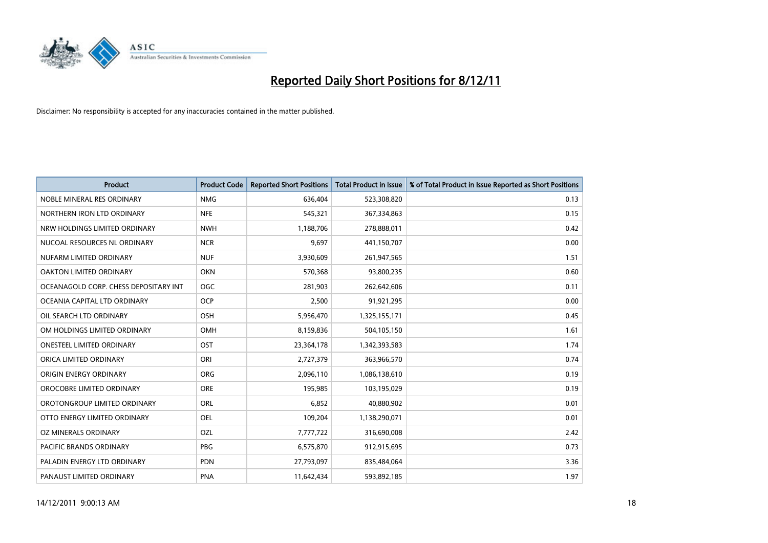

| <b>Product</b>                        | <b>Product Code</b> | <b>Reported Short Positions</b> | <b>Total Product in Issue</b> | % of Total Product in Issue Reported as Short Positions |
|---------------------------------------|---------------------|---------------------------------|-------------------------------|---------------------------------------------------------|
| NOBLE MINERAL RES ORDINARY            | <b>NMG</b>          | 636,404                         | 523,308,820                   | 0.13                                                    |
| NORTHERN IRON LTD ORDINARY            | <b>NFE</b>          | 545,321                         | 367,334,863                   | 0.15                                                    |
| NRW HOLDINGS LIMITED ORDINARY         | <b>NWH</b>          | 1,188,706                       | 278,888,011                   | 0.42                                                    |
| NUCOAL RESOURCES NL ORDINARY          | <b>NCR</b>          | 9,697                           | 441,150,707                   | 0.00                                                    |
| NUFARM LIMITED ORDINARY               | <b>NUF</b>          | 3,930,609                       | 261,947,565                   | 1.51                                                    |
| OAKTON LIMITED ORDINARY               | <b>OKN</b>          | 570,368                         | 93,800,235                    | 0.60                                                    |
| OCEANAGOLD CORP. CHESS DEPOSITARY INT | OGC                 | 281,903                         | 262,642,606                   | 0.11                                                    |
| OCEANIA CAPITAL LTD ORDINARY          | <b>OCP</b>          | 2,500                           | 91,921,295                    | 0.00                                                    |
| OIL SEARCH LTD ORDINARY               | <b>OSH</b>          | 5,956,470                       | 1,325,155,171                 | 0.45                                                    |
| OM HOLDINGS LIMITED ORDINARY          | <b>OMH</b>          | 8,159,836                       | 504,105,150                   | 1.61                                                    |
| ONESTEEL LIMITED ORDINARY             | OST                 | 23,364,178                      | 1,342,393,583                 | 1.74                                                    |
| ORICA LIMITED ORDINARY                | ORI                 | 2,727,379                       | 363,966,570                   | 0.74                                                    |
| ORIGIN ENERGY ORDINARY                | <b>ORG</b>          | 2,096,110                       | 1,086,138,610                 | 0.19                                                    |
| OROCOBRE LIMITED ORDINARY             | <b>ORE</b>          | 195,985                         | 103,195,029                   | 0.19                                                    |
| OROTONGROUP LIMITED ORDINARY          | <b>ORL</b>          | 6,852                           | 40,880,902                    | 0.01                                                    |
| OTTO ENERGY LIMITED ORDINARY          | OEL                 | 109,204                         | 1,138,290,071                 | 0.01                                                    |
| OZ MINERALS ORDINARY                  | OZL                 | 7,777,722                       | 316,690,008                   | 2.42                                                    |
| PACIFIC BRANDS ORDINARY               | <b>PBG</b>          | 6,575,870                       | 912,915,695                   | 0.73                                                    |
| PALADIN ENERGY LTD ORDINARY           | <b>PDN</b>          | 27,793,097                      | 835,484,064                   | 3.36                                                    |
| PANAUST LIMITED ORDINARY              | <b>PNA</b>          | 11,642,434                      | 593,892,185                   | 1.97                                                    |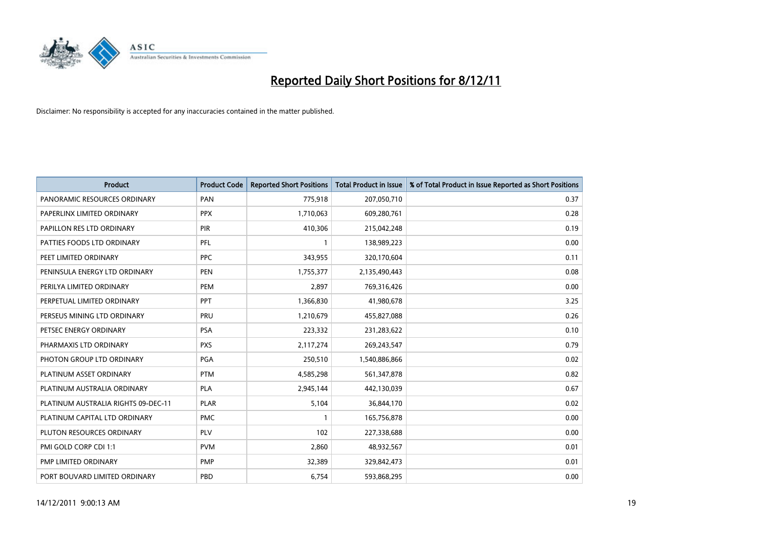

| <b>Product</b>                      | <b>Product Code</b> | <b>Reported Short Positions</b> | <b>Total Product in Issue</b> | % of Total Product in Issue Reported as Short Positions |
|-------------------------------------|---------------------|---------------------------------|-------------------------------|---------------------------------------------------------|
| PANORAMIC RESOURCES ORDINARY        | PAN                 | 775,918                         | 207,050,710                   | 0.37                                                    |
| PAPERLINX LIMITED ORDINARY          | <b>PPX</b>          | 1,710,063                       | 609,280,761                   | 0.28                                                    |
| PAPILLON RES LTD ORDINARY           | PIR                 | 410,306                         | 215,042,248                   | 0.19                                                    |
| PATTIES FOODS LTD ORDINARY          | PFL                 | 1                               | 138,989,223                   | 0.00                                                    |
| PEET LIMITED ORDINARY               | <b>PPC</b>          | 343,955                         | 320,170,604                   | 0.11                                                    |
| PENINSULA ENERGY LTD ORDINARY       | <b>PEN</b>          | 1,755,377                       | 2,135,490,443                 | 0.08                                                    |
| PERILYA LIMITED ORDINARY            | PEM                 | 2.897                           | 769,316,426                   | 0.00                                                    |
| PERPETUAL LIMITED ORDINARY          | PPT                 | 1,366,830                       | 41,980,678                    | 3.25                                                    |
| PERSEUS MINING LTD ORDINARY         | PRU                 | 1,210,679                       | 455,827,088                   | 0.26                                                    |
| PETSEC ENERGY ORDINARY              | <b>PSA</b>          | 223,332                         | 231,283,622                   | 0.10                                                    |
| PHARMAXIS LTD ORDINARY              | <b>PXS</b>          | 2,117,274                       | 269,243,547                   | 0.79                                                    |
| PHOTON GROUP LTD ORDINARY           | <b>PGA</b>          | 250,510                         | 1,540,886,866                 | 0.02                                                    |
| PLATINUM ASSET ORDINARY             | <b>PTM</b>          | 4,585,298                       | 561,347,878                   | 0.82                                                    |
| PLATINUM AUSTRALIA ORDINARY         | <b>PLA</b>          | 2,945,144                       | 442,130,039                   | 0.67                                                    |
| PLATINUM AUSTRALIA RIGHTS 09-DEC-11 | <b>PLAR</b>         | 5,104                           | 36,844,170                    | 0.02                                                    |
| PLATINUM CAPITAL LTD ORDINARY       | <b>PMC</b>          |                                 | 165,756,878                   | 0.00                                                    |
| PLUTON RESOURCES ORDINARY           | <b>PLV</b>          | 102                             | 227,338,688                   | 0.00                                                    |
| PMI GOLD CORP CDI 1:1               | <b>PVM</b>          | 2,860                           | 48,932,567                    | 0.01                                                    |
| PMP LIMITED ORDINARY                | <b>PMP</b>          | 32,389                          | 329,842,473                   | 0.01                                                    |
| PORT BOUVARD LIMITED ORDINARY       | PBD                 | 6,754                           | 593,868,295                   | 0.00                                                    |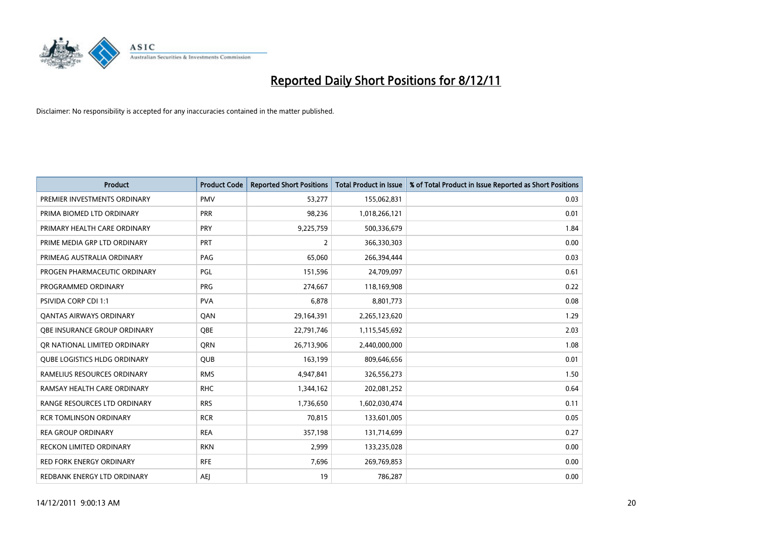

| <b>Product</b>                      | <b>Product Code</b> | <b>Reported Short Positions</b> | <b>Total Product in Issue</b> | % of Total Product in Issue Reported as Short Positions |
|-------------------------------------|---------------------|---------------------------------|-------------------------------|---------------------------------------------------------|
| PREMIER INVESTMENTS ORDINARY        | <b>PMV</b>          | 53,277                          | 155,062,831                   | 0.03                                                    |
| PRIMA BIOMED LTD ORDINARY           | <b>PRR</b>          | 98,236                          | 1,018,266,121                 | 0.01                                                    |
| PRIMARY HEALTH CARE ORDINARY        | <b>PRY</b>          | 9,225,759                       | 500,336,679                   | 1.84                                                    |
| PRIME MEDIA GRP LTD ORDINARY        | <b>PRT</b>          | 2                               | 366,330,303                   | 0.00                                                    |
| PRIMEAG AUSTRALIA ORDINARY          | PAG                 | 65,060                          | 266,394,444                   | 0.03                                                    |
| PROGEN PHARMACEUTIC ORDINARY        | PGL                 | 151,596                         | 24,709,097                    | 0.61                                                    |
| PROGRAMMED ORDINARY                 | <b>PRG</b>          | 274,667                         | 118,169,908                   | 0.22                                                    |
| PSIVIDA CORP CDI 1:1                | <b>PVA</b>          | 6,878                           | 8,801,773                     | 0.08                                                    |
| <b>QANTAS AIRWAYS ORDINARY</b>      | QAN                 | 29,164,391                      | 2,265,123,620                 | 1.29                                                    |
| OBE INSURANCE GROUP ORDINARY        | <b>OBE</b>          | 22,791,746                      | 1,115,545,692                 | 2.03                                                    |
| OR NATIONAL LIMITED ORDINARY        | <b>ORN</b>          | 26,713,906                      | 2,440,000,000                 | 1.08                                                    |
| <b>QUBE LOGISTICS HLDG ORDINARY</b> | QUB                 | 163,199                         | 809,646,656                   | 0.01                                                    |
| RAMELIUS RESOURCES ORDINARY         | <b>RMS</b>          | 4,947,841                       | 326,556,273                   | 1.50                                                    |
| RAMSAY HEALTH CARE ORDINARY         | <b>RHC</b>          | 1,344,162                       | 202,081,252                   | 0.64                                                    |
| RANGE RESOURCES LTD ORDINARY        | <b>RRS</b>          | 1,736,650                       | 1,602,030,474                 | 0.11                                                    |
| <b>RCR TOMLINSON ORDINARY</b>       | <b>RCR</b>          | 70,815                          | 133,601,005                   | 0.05                                                    |
| <b>REA GROUP ORDINARY</b>           | <b>REA</b>          | 357,198                         | 131,714,699                   | 0.27                                                    |
| <b>RECKON LIMITED ORDINARY</b>      | <b>RKN</b>          | 2,999                           | 133,235,028                   | 0.00                                                    |
| <b>RED FORK ENERGY ORDINARY</b>     | <b>RFE</b>          | 7,696                           | 269,769,853                   | 0.00                                                    |
| REDBANK ENERGY LTD ORDINARY         | AEJ                 | 19                              | 786,287                       | 0.00                                                    |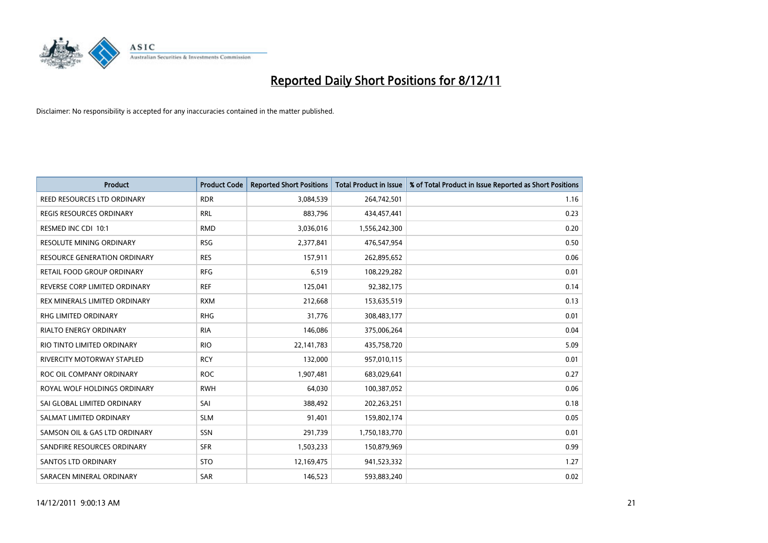

| <b>Product</b>                      | <b>Product Code</b> | <b>Reported Short Positions</b> | <b>Total Product in Issue</b> | % of Total Product in Issue Reported as Short Positions |
|-------------------------------------|---------------------|---------------------------------|-------------------------------|---------------------------------------------------------|
| REED RESOURCES LTD ORDINARY         | <b>RDR</b>          | 3,084,539                       | 264,742,501                   | 1.16                                                    |
| REGIS RESOURCES ORDINARY            | <b>RRL</b>          | 883,796                         | 434,457,441                   | 0.23                                                    |
| RESMED INC CDI 10:1                 | <b>RMD</b>          | 3,036,016                       | 1,556,242,300                 | 0.20                                                    |
| <b>RESOLUTE MINING ORDINARY</b>     | <b>RSG</b>          | 2,377,841                       | 476,547,954                   | 0.50                                                    |
| <b>RESOURCE GENERATION ORDINARY</b> | <b>RES</b>          | 157,911                         | 262,895,652                   | 0.06                                                    |
| RETAIL FOOD GROUP ORDINARY          | <b>RFG</b>          | 6,519                           | 108,229,282                   | 0.01                                                    |
| REVERSE CORP LIMITED ORDINARY       | <b>REF</b>          | 125,041                         | 92,382,175                    | 0.14                                                    |
| REX MINERALS LIMITED ORDINARY       | <b>RXM</b>          | 212,668                         | 153,635,519                   | 0.13                                                    |
| RHG LIMITED ORDINARY                | <b>RHG</b>          | 31,776                          | 308,483,177                   | 0.01                                                    |
| <b>RIALTO ENERGY ORDINARY</b>       | <b>RIA</b>          | 146,086                         | 375,006,264                   | 0.04                                                    |
| RIO TINTO LIMITED ORDINARY          | <b>RIO</b>          | 22, 141, 783                    | 435,758,720                   | 5.09                                                    |
| RIVERCITY MOTORWAY STAPLED          | <b>RCY</b>          | 132,000                         | 957,010,115                   | 0.01                                                    |
| ROC OIL COMPANY ORDINARY            | <b>ROC</b>          | 1,907,481                       | 683,029,641                   | 0.27                                                    |
| ROYAL WOLF HOLDINGS ORDINARY        | <b>RWH</b>          | 64,030                          | 100,387,052                   | 0.06                                                    |
| SAI GLOBAL LIMITED ORDINARY         | SAI                 | 388,492                         | 202,263,251                   | 0.18                                                    |
| SALMAT LIMITED ORDINARY             | <b>SLM</b>          | 91,401                          | 159,802,174                   | 0.05                                                    |
| SAMSON OIL & GAS LTD ORDINARY       | SSN                 | 291,739                         | 1,750,183,770                 | 0.01                                                    |
| SANDFIRE RESOURCES ORDINARY         | <b>SFR</b>          | 1,503,233                       | 150,879,969                   | 0.99                                                    |
| <b>SANTOS LTD ORDINARY</b>          | <b>STO</b>          | 12,169,475                      | 941,523,332                   | 1.27                                                    |
| SARACEN MINERAL ORDINARY            | SAR                 | 146,523                         | 593,883,240                   | 0.02                                                    |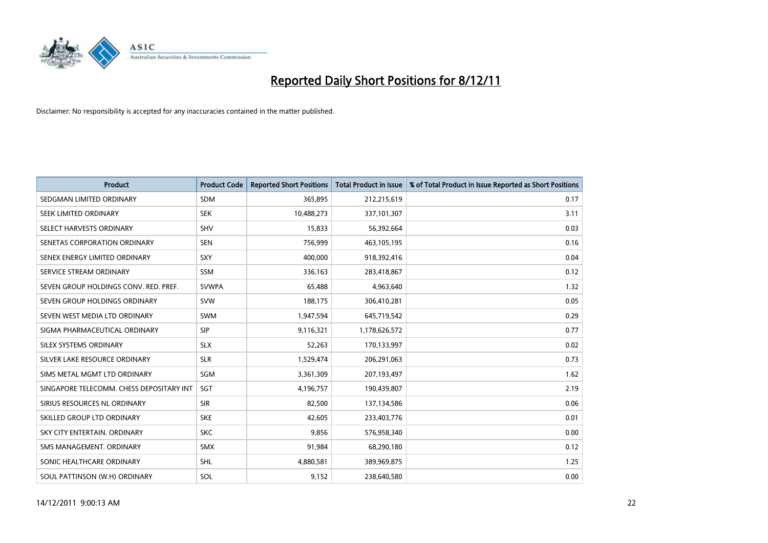

| <b>Product</b>                           | <b>Product Code</b> | <b>Reported Short Positions</b> | <b>Total Product in Issue</b> | % of Total Product in Issue Reported as Short Positions |
|------------------------------------------|---------------------|---------------------------------|-------------------------------|---------------------------------------------------------|
| SEDGMAN LIMITED ORDINARY                 | <b>SDM</b>          | 365,895                         | 212,215,619                   | 0.17                                                    |
| SEEK LIMITED ORDINARY                    | <b>SEK</b>          | 10,488,273                      | 337,101,307                   | 3.11                                                    |
| SELECT HARVESTS ORDINARY                 | <b>SHV</b>          | 15,833                          | 56,392,664                    | 0.03                                                    |
| SENETAS CORPORATION ORDINARY             | <b>SEN</b>          | 756,999                         | 463,105,195                   | 0.16                                                    |
| SENEX ENERGY LIMITED ORDINARY            | SXY                 | 400.000                         | 918,392,416                   | 0.04                                                    |
| SERVICE STREAM ORDINARY                  | <b>SSM</b>          | 336,163                         | 283,418,867                   | 0.12                                                    |
| SEVEN GROUP HOLDINGS CONV. RED. PREF.    | <b>SVWPA</b>        | 65,488                          | 4,963,640                     | 1.32                                                    |
| SEVEN GROUP HOLDINGS ORDINARY            | <b>SVW</b>          | 188,175                         | 306,410,281                   | 0.05                                                    |
| SEVEN WEST MEDIA LTD ORDINARY            | <b>SWM</b>          | 1,947,594                       | 645,719,542                   | 0.29                                                    |
| SIGMA PHARMACEUTICAL ORDINARY            | <b>SIP</b>          | 9,116,321                       | 1,178,626,572                 | 0.77                                                    |
| SILEX SYSTEMS ORDINARY                   | <b>SLX</b>          | 52,263                          | 170,133,997                   | 0.02                                                    |
| SILVER LAKE RESOURCE ORDINARY            | <b>SLR</b>          | 1,529,474                       | 206,291,063                   | 0.73                                                    |
| SIMS METAL MGMT LTD ORDINARY             | SGM                 | 3,361,309                       | 207,193,497                   | 1.62                                                    |
| SINGAPORE TELECOMM. CHESS DEPOSITARY INT | SGT                 | 4,196,757                       | 190,439,807                   | 2.19                                                    |
| SIRIUS RESOURCES NL ORDINARY             | <b>SIR</b>          | 82,500                          | 137,134,586                   | 0.06                                                    |
| SKILLED GROUP LTD ORDINARY               | <b>SKE</b>          | 42,605                          | 233,403,776                   | 0.01                                                    |
| SKY CITY ENTERTAIN, ORDINARY             | <b>SKC</b>          | 9,856                           | 576,958,340                   | 0.00                                                    |
| SMS MANAGEMENT. ORDINARY                 | <b>SMX</b>          | 91,984                          | 68,290,180                    | 0.12                                                    |
| SONIC HEALTHCARE ORDINARY                | <b>SHL</b>          | 4,880,581                       | 389,969,875                   | 1.25                                                    |
| SOUL PATTINSON (W.H) ORDINARY            | SOL                 | 9,152                           | 238,640,580                   | 0.00                                                    |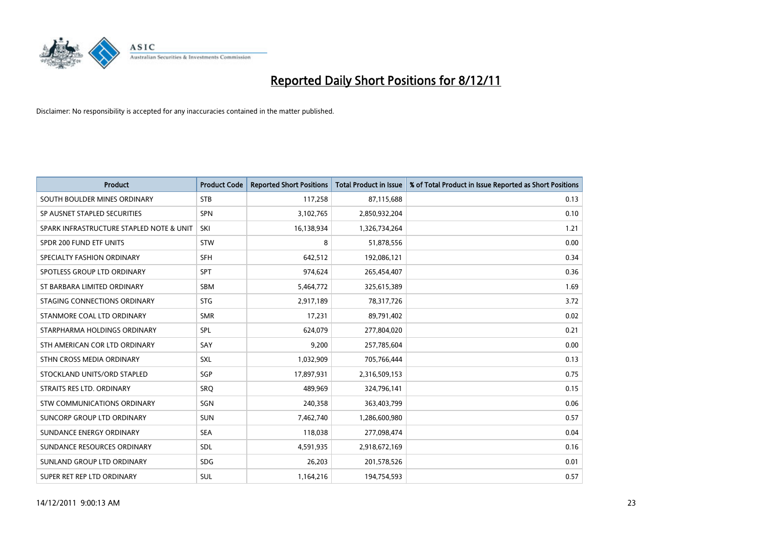

| <b>Product</b>                           | <b>Product Code</b> | <b>Reported Short Positions</b> | <b>Total Product in Issue</b> | % of Total Product in Issue Reported as Short Positions |
|------------------------------------------|---------------------|---------------------------------|-------------------------------|---------------------------------------------------------|
| SOUTH BOULDER MINES ORDINARY             | <b>STB</b>          | 117,258                         | 87,115,688                    | 0.13                                                    |
| SP AUSNET STAPLED SECURITIES             | <b>SPN</b>          | 3,102,765                       | 2,850,932,204                 | 0.10                                                    |
| SPARK INFRASTRUCTURE STAPLED NOTE & UNIT | SKI                 | 16,138,934                      | 1,326,734,264                 | 1.21                                                    |
| SPDR 200 FUND ETF UNITS                  | <b>STW</b>          | 8                               | 51,878,556                    | 0.00                                                    |
| SPECIALTY FASHION ORDINARY               | <b>SFH</b>          | 642,512                         | 192,086,121                   | 0.34                                                    |
| SPOTLESS GROUP LTD ORDINARY              | <b>SPT</b>          | 974,624                         | 265,454,407                   | 0.36                                                    |
| ST BARBARA LIMITED ORDINARY              | <b>SBM</b>          | 5,464,772                       | 325,615,389                   | 1.69                                                    |
| STAGING CONNECTIONS ORDINARY             | <b>STG</b>          | 2,917,189                       | 78,317,726                    | 3.72                                                    |
| STANMORE COAL LTD ORDINARY               | <b>SMR</b>          | 17,231                          | 89,791,402                    | 0.02                                                    |
| STARPHARMA HOLDINGS ORDINARY             | SPL                 | 624,079                         | 277,804,020                   | 0.21                                                    |
| STH AMERICAN COR LTD ORDINARY            | SAY                 | 9,200                           | 257,785,604                   | 0.00                                                    |
| STHN CROSS MEDIA ORDINARY                | <b>SXL</b>          | 1,032,909                       | 705,766,444                   | 0.13                                                    |
| STOCKLAND UNITS/ORD STAPLED              | SGP                 | 17,897,931                      | 2,316,509,153                 | 0.75                                                    |
| STRAITS RES LTD. ORDINARY                | SRO                 | 489,969                         | 324,796,141                   | 0.15                                                    |
| <b>STW COMMUNICATIONS ORDINARY</b>       | SGN                 | 240,358                         | 363,403,799                   | 0.06                                                    |
| SUNCORP GROUP LTD ORDINARY               | <b>SUN</b>          | 7,462,740                       | 1,286,600,980                 | 0.57                                                    |
| SUNDANCE ENERGY ORDINARY                 | <b>SEA</b>          | 118,038                         | 277,098,474                   | 0.04                                                    |
| SUNDANCE RESOURCES ORDINARY              | <b>SDL</b>          | 4,591,935                       | 2,918,672,169                 | 0.16                                                    |
| SUNLAND GROUP LTD ORDINARY               | <b>SDG</b>          | 26,203                          | 201,578,526                   | 0.01                                                    |
| SUPER RET REP LTD ORDINARY               | <b>SUL</b>          | 1,164,216                       | 194,754,593                   | 0.57                                                    |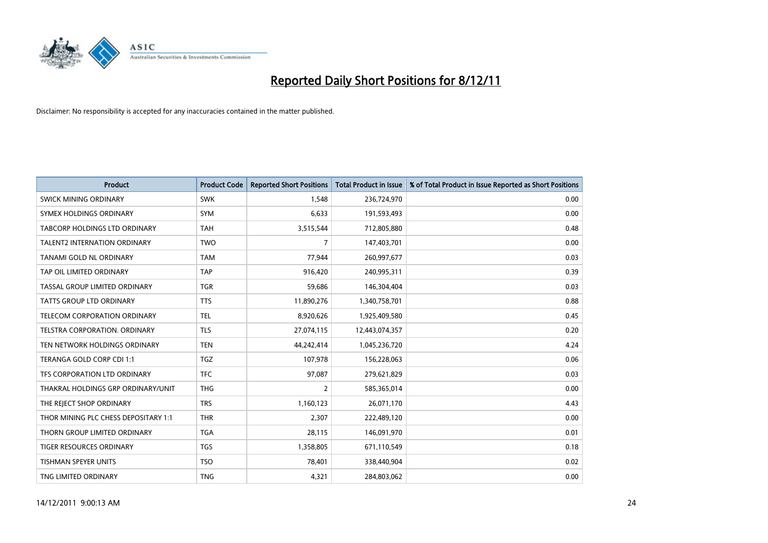

| <b>Product</b>                       | <b>Product Code</b> | <b>Reported Short Positions</b> | <b>Total Product in Issue</b> | % of Total Product in Issue Reported as Short Positions |
|--------------------------------------|---------------------|---------------------------------|-------------------------------|---------------------------------------------------------|
| SWICK MINING ORDINARY                | <b>SWK</b>          | 1.548                           | 236,724,970                   | 0.00                                                    |
| SYMEX HOLDINGS ORDINARY              | <b>SYM</b>          | 6,633                           | 191,593,493                   | 0.00                                                    |
| TABCORP HOLDINGS LTD ORDINARY        | <b>TAH</b>          | 3,515,544                       | 712,805,880                   | 0.48                                                    |
| TALENT2 INTERNATION ORDINARY         | <b>TWO</b>          | 7                               | 147,403,701                   | 0.00                                                    |
| TANAMI GOLD NL ORDINARY              | <b>TAM</b>          | 77,944                          | 260,997,677                   | 0.03                                                    |
| TAP OIL LIMITED ORDINARY             | <b>TAP</b>          | 916,420                         | 240,995,311                   | 0.39                                                    |
| TASSAL GROUP LIMITED ORDINARY        | <b>TGR</b>          | 59,686                          | 146,304,404                   | 0.03                                                    |
| TATTS GROUP LTD ORDINARY             | <b>TTS</b>          | 11,890,276                      | 1,340,758,701                 | 0.88                                                    |
| TELECOM CORPORATION ORDINARY         | <b>TEL</b>          | 8,920,626                       | 1,925,409,580                 | 0.45                                                    |
| TELSTRA CORPORATION, ORDINARY        | <b>TLS</b>          | 27,074,115                      | 12,443,074,357                | 0.20                                                    |
| TEN NETWORK HOLDINGS ORDINARY        | <b>TEN</b>          | 44,242,414                      | 1,045,236,720                 | 4.24                                                    |
| TERANGA GOLD CORP CDI 1:1            | <b>TGZ</b>          | 107,978                         | 156,228,063                   | 0.06                                                    |
| TFS CORPORATION LTD ORDINARY         | <b>TFC</b>          | 97,087                          | 279,621,829                   | 0.03                                                    |
| THAKRAL HOLDINGS GRP ORDINARY/UNIT   | <b>THG</b>          | 2                               | 585,365,014                   | 0.00                                                    |
| THE REJECT SHOP ORDINARY             | <b>TRS</b>          | 1,160,123                       | 26,071,170                    | 4.43                                                    |
| THOR MINING PLC CHESS DEPOSITARY 1:1 | <b>THR</b>          | 2,307                           | 222,489,120                   | 0.00                                                    |
| THORN GROUP LIMITED ORDINARY         | <b>TGA</b>          | 28,115                          | 146,091,970                   | 0.01                                                    |
| TIGER RESOURCES ORDINARY             | <b>TGS</b>          | 1,358,805                       | 671,110,549                   | 0.18                                                    |
| <b>TISHMAN SPEYER UNITS</b>          | <b>TSO</b>          | 78,401                          | 338,440,904                   | 0.02                                                    |
| TNG LIMITED ORDINARY                 | <b>TNG</b>          | 4,321                           | 284,803,062                   | 0.00                                                    |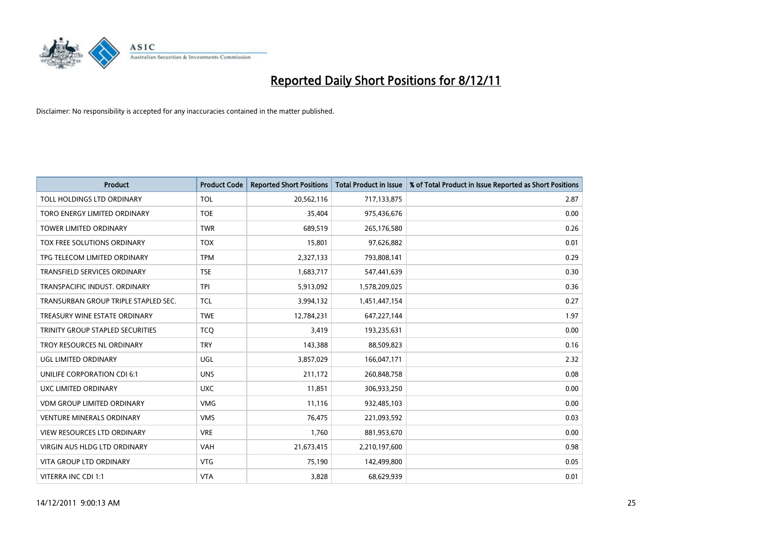

| <b>Product</b>                       | <b>Product Code</b> | <b>Reported Short Positions</b> | <b>Total Product in Issue</b> | % of Total Product in Issue Reported as Short Positions |
|--------------------------------------|---------------------|---------------------------------|-------------------------------|---------------------------------------------------------|
| TOLL HOLDINGS LTD ORDINARY           | <b>TOL</b>          | 20,562,116                      | 717,133,875                   | 2.87                                                    |
| TORO ENERGY LIMITED ORDINARY         | <b>TOE</b>          | 35,404                          | 975,436,676                   | 0.00                                                    |
| <b>TOWER LIMITED ORDINARY</b>        | <b>TWR</b>          | 689,519                         | 265,176,580                   | 0.26                                                    |
| TOX FREE SOLUTIONS ORDINARY          | <b>TOX</b>          | 15,801                          | 97,626,882                    | 0.01                                                    |
| TPG TELECOM LIMITED ORDINARY         | <b>TPM</b>          | 2,327,133                       | 793,808,141                   | 0.29                                                    |
| <b>TRANSFIELD SERVICES ORDINARY</b>  | <b>TSE</b>          | 1,683,717                       | 547,441,639                   | 0.30                                                    |
| TRANSPACIFIC INDUST, ORDINARY        | <b>TPI</b>          | 5,913,092                       | 1,578,209,025                 | 0.36                                                    |
| TRANSURBAN GROUP TRIPLE STAPLED SEC. | <b>TCL</b>          | 3,994,132                       | 1,451,447,154                 | 0.27                                                    |
| TREASURY WINE ESTATE ORDINARY        | <b>TWE</b>          | 12,784,231                      | 647,227,144                   | 1.97                                                    |
| TRINITY GROUP STAPLED SECURITIES     | <b>TCO</b>          | 3,419                           | 193,235,631                   | 0.00                                                    |
| TROY RESOURCES NL ORDINARY           | <b>TRY</b>          | 143,388                         | 88,509,823                    | 0.16                                                    |
| UGL LIMITED ORDINARY                 | UGL                 | 3,857,029                       | 166,047,171                   | 2.32                                                    |
| UNILIFE CORPORATION CDI 6:1          | <b>UNS</b>          | 211,172                         | 260,848,758                   | 0.08                                                    |
| <b>UXC LIMITED ORDINARY</b>          | <b>UXC</b>          | 11,851                          | 306,933,250                   | 0.00                                                    |
| <b>VDM GROUP LIMITED ORDINARY</b>    | <b>VMG</b>          | 11,116                          | 932,485,103                   | 0.00                                                    |
| VENTURE MINERALS ORDINARY            | <b>VMS</b>          | 76,475                          | 221,093,592                   | 0.03                                                    |
| VIEW RESOURCES LTD ORDINARY          | <b>VRE</b>          | 1,760                           | 881,953,670                   | 0.00                                                    |
| VIRGIN AUS HLDG LTD ORDINARY         | <b>VAH</b>          | 21,673,415                      | 2,210,197,600                 | 0.98                                                    |
| <b>VITA GROUP LTD ORDINARY</b>       | <b>VTG</b>          | 75,190                          | 142,499,800                   | 0.05                                                    |
| VITERRA INC CDI 1:1                  | <b>VTA</b>          | 3,828                           | 68,629,939                    | 0.01                                                    |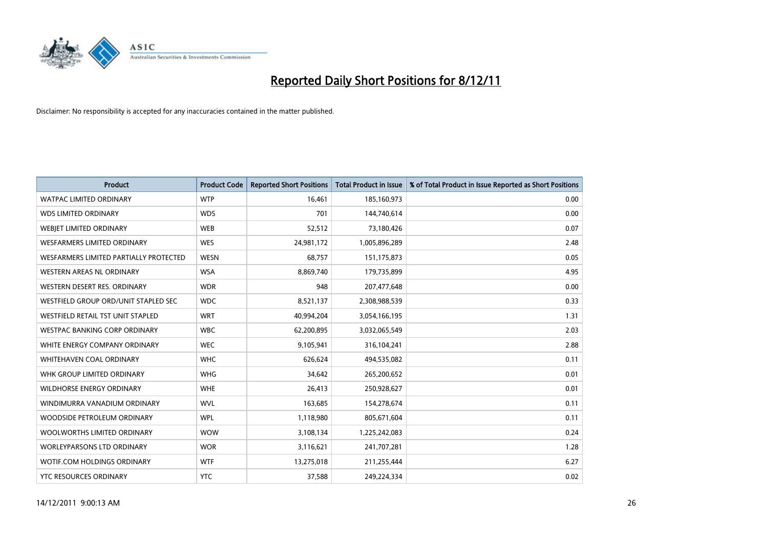

| <b>Product</b>                                | <b>Product Code</b> | <b>Reported Short Positions</b> | <b>Total Product in Issue</b> | % of Total Product in Issue Reported as Short Positions |
|-----------------------------------------------|---------------------|---------------------------------|-------------------------------|---------------------------------------------------------|
| <b>WATPAC LIMITED ORDINARY</b>                | <b>WTP</b>          | 16,461                          | 185,160,973                   | 0.00                                                    |
| <b>WDS LIMITED ORDINARY</b>                   | <b>WDS</b>          | 701                             | 144,740,614                   | 0.00                                                    |
| WEBIET LIMITED ORDINARY                       | <b>WEB</b>          | 52,512                          | 73,180,426                    | 0.07                                                    |
| <b>WESFARMERS LIMITED ORDINARY</b>            | <b>WES</b>          | 24,981,172                      | 1,005,896,289                 | 2.48                                                    |
| <b>WESFARMERS LIMITED PARTIALLY PROTECTED</b> | <b>WESN</b>         | 68,757                          | 151, 175, 873                 | 0.05                                                    |
| <b>WESTERN AREAS NL ORDINARY</b>              | <b>WSA</b>          | 8,869,740                       | 179,735,899                   | 4.95                                                    |
| WESTERN DESERT RES. ORDINARY                  | <b>WDR</b>          | 948                             | 207,477,648                   | 0.00                                                    |
| WESTFIELD GROUP ORD/UNIT STAPLED SEC          | <b>WDC</b>          | 8,521,137                       | 2,308,988,539                 | 0.33                                                    |
| WESTFIELD RETAIL TST UNIT STAPLED             | <b>WRT</b>          | 40,994,204                      | 3,054,166,195                 | 1.31                                                    |
| <b>WESTPAC BANKING CORP ORDINARY</b>          | <b>WBC</b>          | 62,200,895                      | 3,032,065,549                 | 2.03                                                    |
| WHITE ENERGY COMPANY ORDINARY                 | <b>WEC</b>          | 9,105,941                       | 316,104,241                   | 2.88                                                    |
| <b>WHITEHAVEN COAL ORDINARY</b>               | <b>WHC</b>          | 626,624                         | 494,535,082                   | 0.11                                                    |
| WHK GROUP LIMITED ORDINARY                    | <b>WHG</b>          | 34,642                          | 265,200,652                   | 0.01                                                    |
| <b>WILDHORSE ENERGY ORDINARY</b>              | <b>WHE</b>          | 26,413                          | 250,928,627                   | 0.01                                                    |
| WINDIMURRA VANADIUM ORDINARY                  | <b>WVL</b>          | 163,685                         | 154,278,674                   | 0.11                                                    |
| WOODSIDE PETROLEUM ORDINARY                   | <b>WPL</b>          | 1,118,980                       | 805,671,604                   | 0.11                                                    |
| WOOLWORTHS LIMITED ORDINARY                   | <b>WOW</b>          | 3,108,134                       | 1,225,242,083                 | 0.24                                                    |
| WORLEYPARSONS LTD ORDINARY                    | <b>WOR</b>          | 3,116,621                       | 241,707,281                   | 1.28                                                    |
| <b>WOTIF.COM HOLDINGS ORDINARY</b>            | <b>WTF</b>          | 13,275,018                      | 211,255,444                   | 6.27                                                    |
| YTC RESOURCES ORDINARY                        | <b>YTC</b>          | 37,588                          | 249,224,334                   | 0.02                                                    |